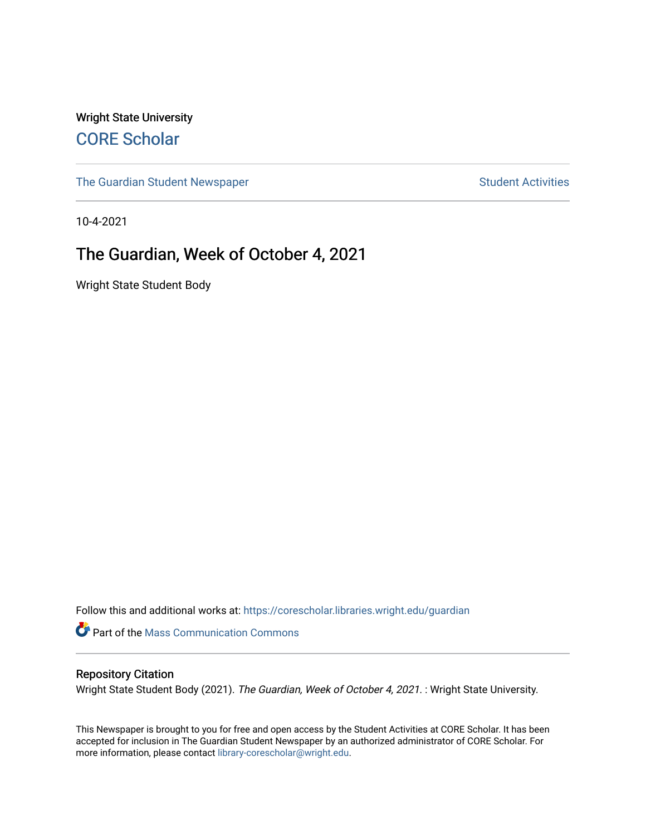Wright State University [CORE Scholar](https://corescholar.libraries.wright.edu/)

[The Guardian Student Newspaper](https://corescholar.libraries.wright.edu/guardian) Student Activities

10-4-2021

#### The Guardian, Week of October 4, 2021

Wright State Student Body

Follow this and additional works at: [https://corescholar.libraries.wright.edu/guardian](https://corescholar.libraries.wright.edu/guardian?utm_source=corescholar.libraries.wright.edu%2Fguardian%2F2502&utm_medium=PDF&utm_campaign=PDFCoverPages)

Part of the [Mass Communication Commons](http://network.bepress.com/hgg/discipline/334?utm_source=corescholar.libraries.wright.edu%2Fguardian%2F2502&utm_medium=PDF&utm_campaign=PDFCoverPages) 

#### Repository Citation

Wright State Student Body (2021). The Guardian, Week of October 4, 2021. : Wright State University.

This Newspaper is brought to you for free and open access by the Student Activities at CORE Scholar. It has been accepted for inclusion in The Guardian Student Newspaper by an authorized administrator of CORE Scholar. For more information, please contact [library-corescholar@wright.edu.](mailto:library-corescholar@wright.edu)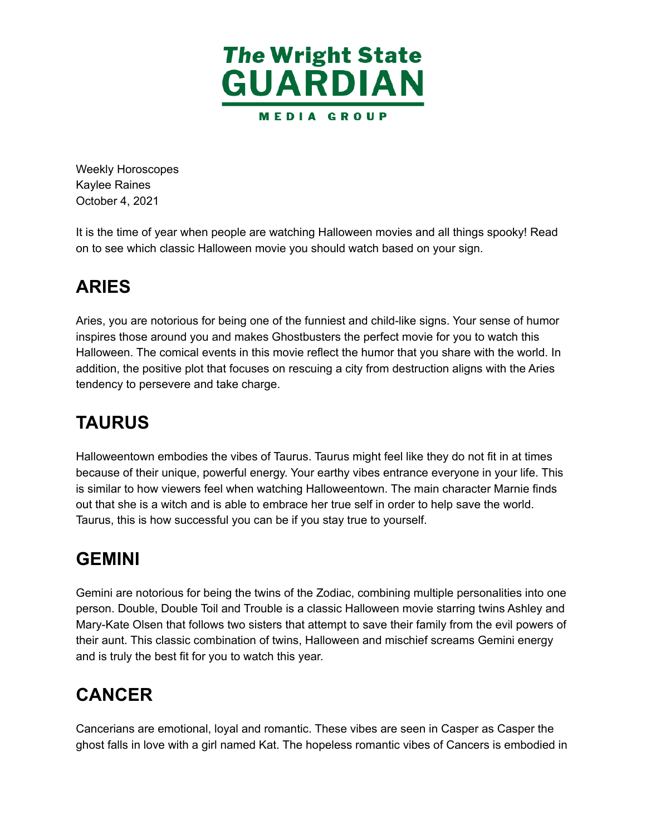

 October 4, 2021 Weekly Horoscopes Kaylee Raines

 It is the time of year when people are watching Halloween movies and all things spooky! Read on to see which classic Halloween movie you should watch based on your sign.

# **ARIES**

 Aries, you are notorious for being one of the funniest and child-like signs. Your sense of humor inspires those around you and makes Ghostbusters the perfect movie for you to watch this Halloween. The comical events in this movie reflect the humor that you share with the world. In addition, the positive plot that focuses on rescuing a city from destruction aligns with the Aries tendency to persevere and take charge.

# **TAURUS**

 Halloweentown embodies the vibes of Taurus. Taurus might feel like they do not fit in at times because of their unique, powerful energy. Your earthy vibes entrance everyone in your life. This is similar to how viewers feel when watching Halloweentown. The main character Marnie finds out that she is a witch and is able to embrace her true self in order to help save the world. Taurus, this is how successful you can be if you stay true to yourself.

# **GEMINI**

 Gemini are notorious for being the twins of the Zodiac, combining multiple personalities into one person. Double, Double Toil and Trouble is a classic Halloween movie starring twins Ashley and Mary-Kate Olsen that follows two sisters that attempt to save their family from the evil powers of their aunt. This classic combination of twins, Halloween and mischief screams Gemini energy and is truly the best fit for you to watch this year.

# **CANCER**

 Cancerians are emotional, loyal and romantic. These vibes are seen in Casper as Casper the ghost falls in love with a girl named Kat. The hopeless romantic vibes of Cancers is embodied in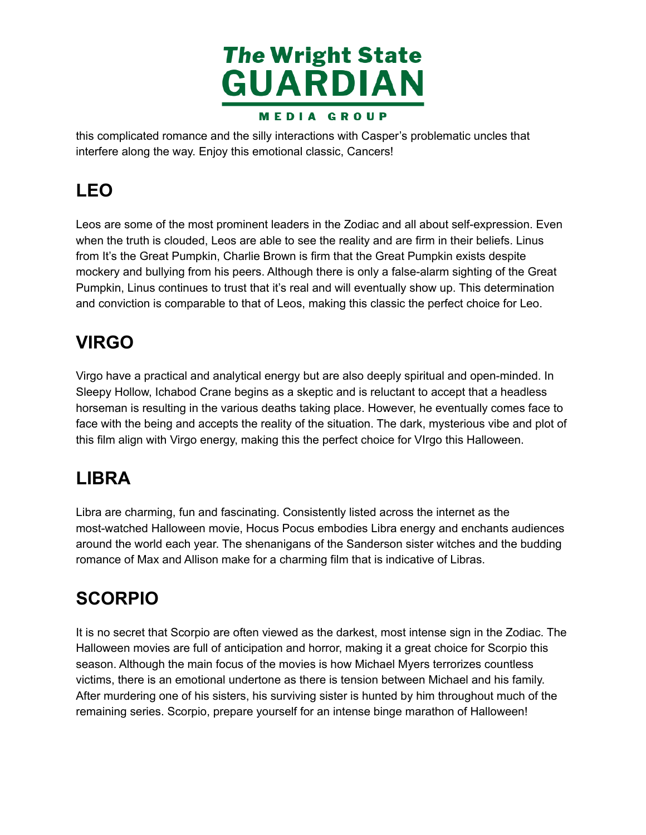

 this complicated romance and the silly interactions with Casper's problematic uncles that interfere along the way. Enjoy this emotional classic, Cancers!

# **LEO**

 Leos are some of the most prominent leaders in the Zodiac and all about self-expression. Even when the truth is clouded, Leos are able to see the reality and are firm in their beliefs. Linus from It's the Great Pumpkin, Charlie Brown is firm that the Great Pumpkin exists despite mockery and bullying from his peers. Although there is only a false-alarm sighting of the Great Pumpkin, Linus continues to trust that it's real and will eventually show up. This determination and conviction is comparable to that of Leos, making this classic the perfect choice for Leo.

# **VIRGO**

 Virgo have a practical and analytical energy but are also deeply spiritual and open-minded. In Sleepy Hollow, Ichabod Crane begins as a skeptic and is reluctant to accept that a headless horseman is resulting in the various deaths taking place. However, he eventually comes face to face with the being and accepts the reality of the situation. The dark, mysterious vibe and plot of this film align with Virgo energy, making this the perfect choice for VIrgo this Halloween.

# **LIBRA**

 Libra are charming, fun and fascinating. Consistently listed across the internet as the most-watched Halloween movie, Hocus Pocus embodies Libra energy and enchants audiences around the world each year. The shenanigans of the Sanderson sister witches and the budding romance of Max and Allison make for a charming film that is indicative of Libras.

# **SCORPIO**

 It is no secret that Scorpio are often viewed as the darkest, most intense sign in the Zodiac. The Halloween movies are full of anticipation and horror, making it a great choice for Scorpio this season. Although the main focus of the movies is how Michael Myers terrorizes countless victims, there is an emotional undertone as there is tension between Michael and his family. After murdering one of his sisters, his surviving sister is hunted by him throughout much of the remaining series. Scorpio, prepare yourself for an intense binge marathon of Halloween!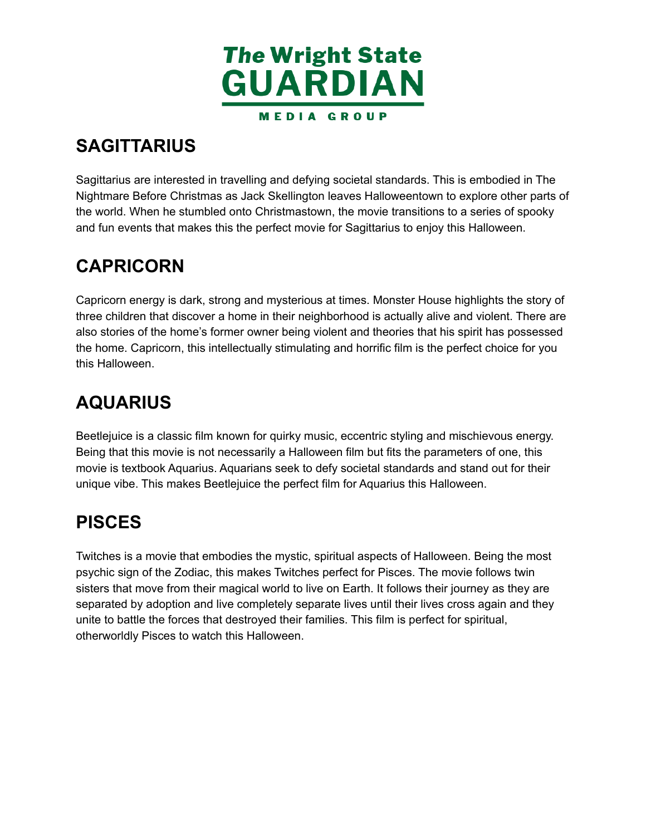

# **SAGITTARIUS**

 Sagittarius are interested in travelling and defying societal standards. This is embodied in The Nightmare Before Christmas as Jack Skellington leaves Halloweentown to explore other parts of the world. When he stumbled onto Christmastown, the movie transitions to a series of spooky and fun events that makes this the perfect movie for Sagittarius to enjoy this Halloween.

# **CAPRICORN**

 Capricorn energy is dark, strong and mysterious at times. Monster House highlights the story of three children that discover a home in their neighborhood is actually alive and violent. There are also stories of the home's former owner being violent and theories that his spirit has possessed the home. Capricorn, this intellectually stimulating and horrific film is the perfect choice for you this Halloween.

# **AQUARIUS**

 Beetlejuice is a classic film known for quirky music, eccentric styling and mischievous energy. Being that this movie is not necessarily a Halloween film but fits the parameters of one, this movie is textbook Aquarius. Aquarians seek to defy societal standards and stand out for their unique vibe. This makes Beetlejuice the perfect film for Aquarius this Halloween.

# **PISCES**

 Twitches is a movie that embodies the mystic, spiritual aspects of Halloween. Being the most psychic sign of the Zodiac, this makes Twitches perfect for Pisces. The movie follows twin sisters that move from their magical world to live on Earth. It follows their journey as they are separated by adoption and live completely separate lives until their lives cross again and they unite to battle the forces that destroyed their families. This film is perfect for spiritual, otherworldly Pisces to watch this Halloween.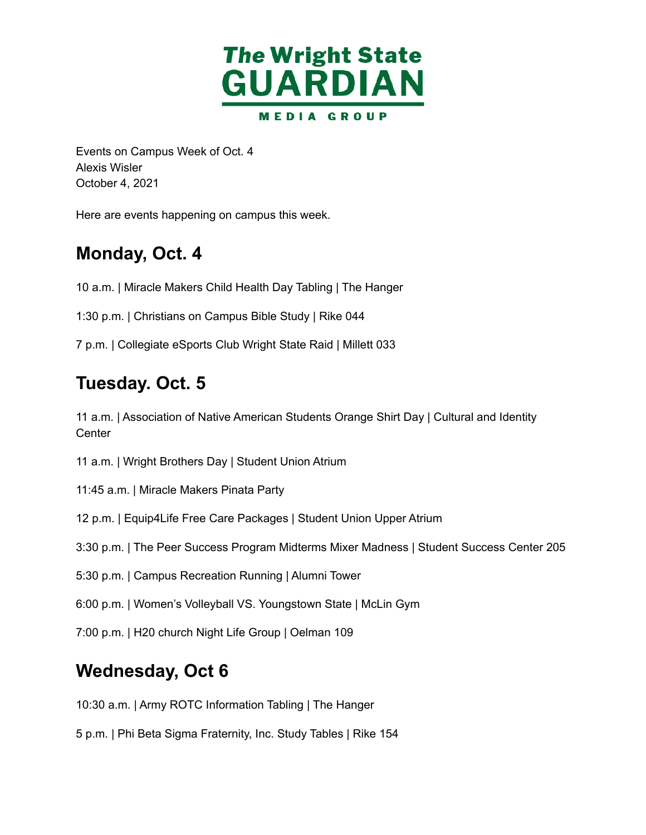

 Events on Campus Week of Oct. 4 October 4, 2021 Alexis Wisler

Here are events happening on campus this week.

# **Monday, Oct. 4**

10 a.m. | Miracle Makers Child Health Day Tabling | The Hanger

1:30 p.m. | Christians on Campus Bible Study | Rike 044

7 p.m. | Collegiate eSports Club Wright State Raid | Millett 033

# **Tuesday. Oct. 5**

 11 a.m. | Association of Native American Students Orange Shirt Day | Cultural and Identity **Center** 

11 a.m. | Wright Brothers Day | Student Union Atrium

11:45 a.m. | Miracle Makers Pinata Party

12 p.m. | Equip4Life Free Care Packages | Student Union Upper Atrium

3:30 p.m. | The Peer Success Program Midterms Mixer Madness | Student Success Center 205

5:30 p.m. | Campus Recreation Running | Alumni Tower

6:00 p.m. | Women's Volleyball VS. Youngstown State | McLin Gym

7:00 p.m. | H20 church Night Life Group | Oelman 109

# **Wednesday, Oct 6**

10:30 a.m. | Army ROTC Information Tabling | The Hanger

5 p.m. | Phi Beta Sigma Fraternity, Inc. Study Tables | Rike 154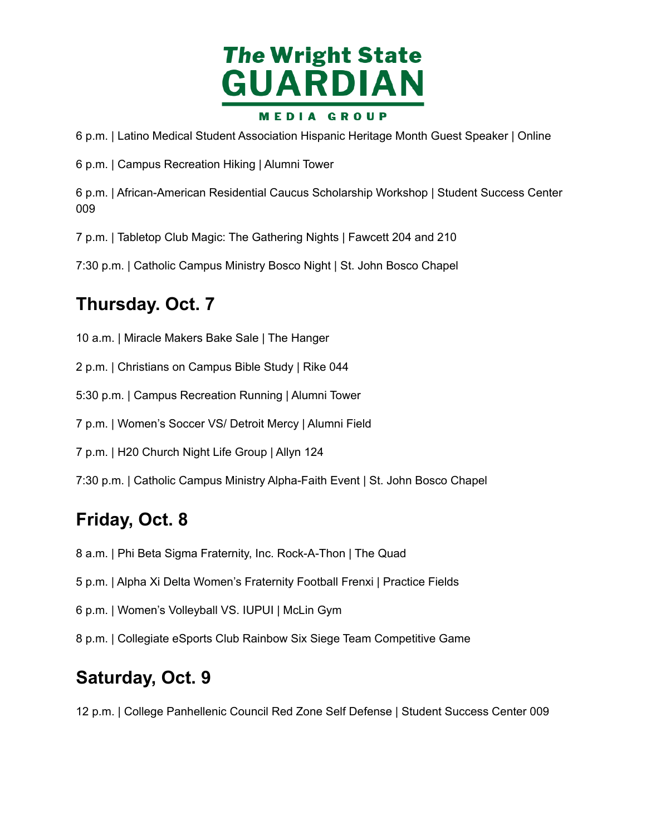

p.m. | Latino Medical Student Association Hispanic Heritage Month Guest Speaker | Online

p.m. | Campus Recreation Hiking | Alumni Tower

 p.m. | African-American Residential Caucus Scholarship Workshop | Student Success Center 

p.m. | Tabletop Club Magic: The Gathering Nights | Fawcett 204 and 210

7:30 p.m. | Catholic Campus Ministry Bosco Night | St. John Bosco Chapel

# **Thursday. Oct. 7**

a.m. | Miracle Makers Bake Sale | The Hanger

p.m. | Christians on Campus Bible Study | Rike 044

5:30 p.m. | Campus Recreation Running | Alumni Tower

p.m. | Women's Soccer VS/ Detroit Mercy | Alumni Field

p.m. | H20 Church Night Life Group | Allyn 124

7:30 p.m. | Catholic Campus Ministry Alpha-Faith Event | St. John Bosco Chapel

# **Friday, Oct. 8**

a.m. | Phi Beta Sigma Fraternity, Inc. Rock-A-Thon | The Quad

p.m. | Alpha Xi Delta Women's Fraternity Football Frenxi | Practice Fields

p.m. | Women's Volleyball VS. IUPUI | McLin Gym

p.m. | Collegiate eSports Club Rainbow Six Siege Team Competitive Game

# **Saturday, Oct. 9**

p.m. | College Panhellenic Council Red Zone Self Defense | Student Success Center 009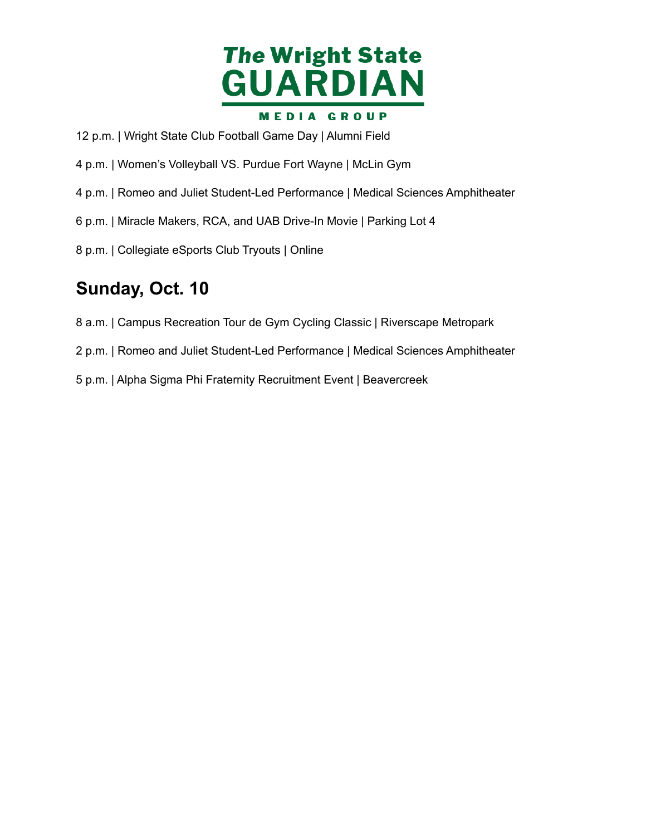

- p.m. | Wright State Club Football Game Day | Alumni Field
- p.m. | Women's Volleyball VS. Purdue Fort Wayne | McLin Gym
- p.m. | Romeo and Juliet Student-Led Performance | Medical Sciences Amphitheater
- p.m. | Miracle Makers, RCA, and UAB Drive-In Movie | Parking Lot 4
- p.m. | Collegiate eSports Club Tryouts | Online

#### **Sunday, Oct. 10**

- a.m. | Campus Recreation Tour de Gym Cycling Classic | Riverscape Metropark
- p.m. | Romeo and Juliet Student-Led Performance | Medical Sciences Amphitheater
- p.m. | Alpha Sigma Phi Fraternity Recruitment Event | Beavercreek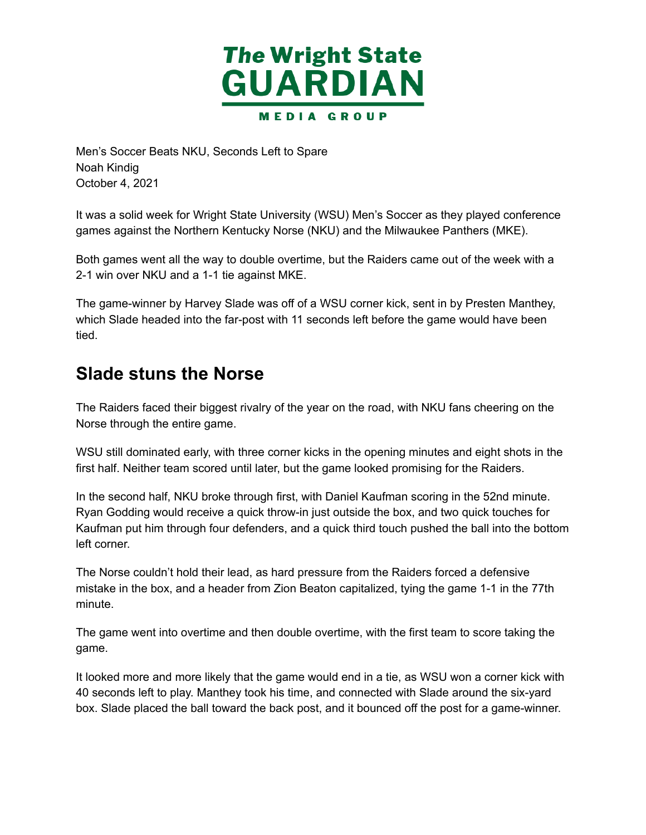

 Men's Soccer Beats NKU, Seconds Left to Spare October 4, 2021 Noah Kindig

 It was a solid week for Wright State University (WSU) Men's Soccer as they played conference games against the Northern Kentucky Norse (NKU) and the Milwaukee Panthers (MKE).

 Both games went all the way to double overtime, but the Raiders came out of the week with a 2-1 win over NKU and a 1-1 tie against MKE.

 The game-winner by Harvey Slade was off of a WSU corner kick, sent in by Presten Manthey, which Slade headed into the far-post with 11 seconds left before the game would have been tied.

#### **Slade stuns the Norse**

 The Raiders faced their biggest rivalry of the year on the road, with NKU fans cheering on the Norse through the entire game.

 WSU still dominated early, with three corner kicks in the opening minutes and eight shots in the first half. Neither team scored until later, but the game looked promising for the Raiders.

 In the second half, NKU broke through first, with Daniel Kaufman scoring in the 52nd minute. Ryan Godding would receive a quick throw-in just outside the box, and two quick touches for Kaufman put him through four defenders, and a quick third touch pushed the ball into the bottom left corner.

 The Norse couldn't hold their lead, as hard pressure from the Raiders forced a defensive mistake in the box, and a header from Zion Beaton capitalized, tying the game 1-1 in the 77th minute.

 The game went into overtime and then double overtime, with the first team to score taking the game.

 It looked more and more likely that the game would end in a tie, as WSU won a corner kick with 40 seconds left to play. Manthey took his time, and connected with Slade around the six-yard box. Slade placed the ball toward the back post, and it bounced off the post for a game-winner.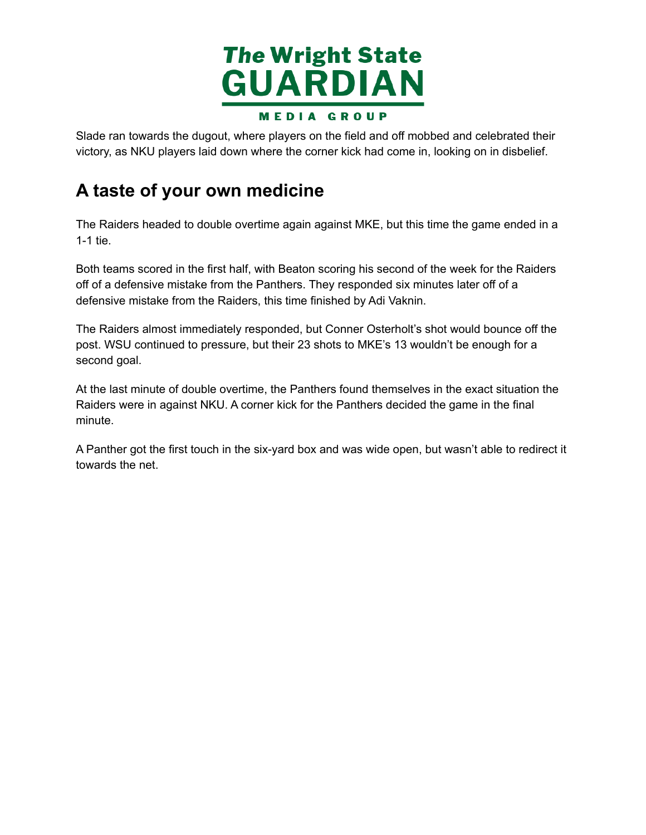

 Slade ran towards the dugout, where players on the field and off mobbed and celebrated their victory, as NKU players laid down where the corner kick had come in, looking on in disbelief.

# **A taste of your own medicine**

 The Raiders headed to double overtime again against MKE, but this time the game ended in a 1-1 tie.

 Both teams scored in the first half, with Beaton scoring his second of the week for the Raiders off of a defensive mistake from the Panthers. They responded six minutes later off of a defensive mistake from the Raiders, this time finished by Adi Vaknin.

 The Raiders almost immediately responded, but Conner Osterholt's shot would bounce off the post. WSU continued to pressure, but their 23 shots to MKE's 13 wouldn't be enough for a second goal.

 At the last minute of double overtime, the Panthers found themselves in the exact situation the Raiders were in against NKU. A corner kick for the Panthers decided the game in the final minute.

 A Panther got the first touch in the six-yard box and was wide open, but wasn't able to redirect it towards the net.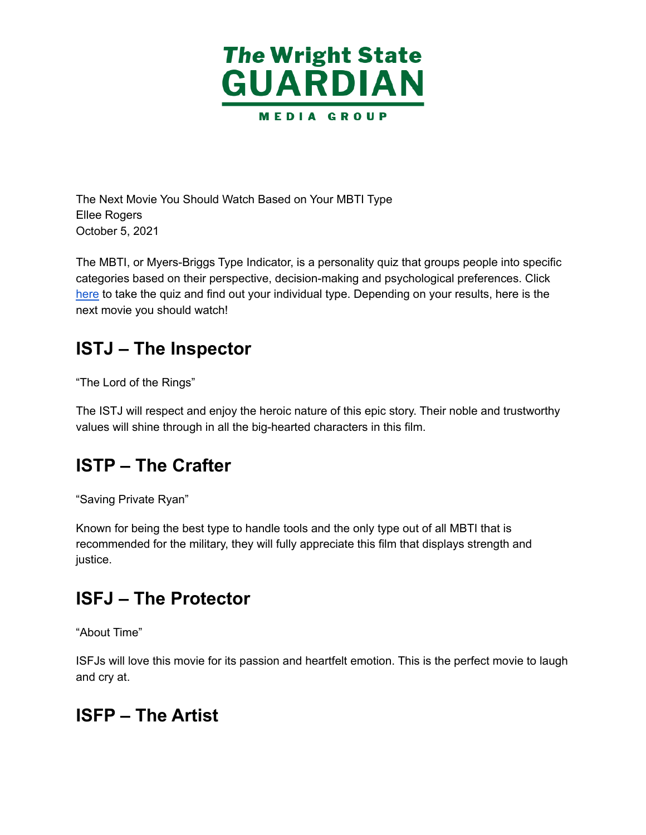

 The Next Movie You Should Watch Based on Your MBTI Type October 5, 2021 Ellee Rogers

 The MBTI, or Myers-Briggs Type Indicator, is a personality quiz that groups people into specific categories based on their perspective, decision-making and psychological preferences. Click [here](https://www.16personalities.com/free-personality-test) to take the quiz and find out your individual type. Depending on your results, here is the next movie you should watch!

# **ISTJ – The Inspector**

"The Lord of the Rings"

 The ISTJ will respect and enjoy the heroic nature of this epic story. Their noble and trustworthy values will shine through in all the big-hearted characters in this film.

# **ISTP – The Crafter**

"Saving Private Ryan"

 Known for being the best type to handle tools and the only type out of all MBTI that is recommended for the military, they will fully appreciate this film that displays strength and justice.

# **ISFJ – The Protector**

"About Time"

 ISFJs will love this movie for its passion and heartfelt emotion. This is the perfect movie to laugh and cry at.

#### **ISFP – The Artist**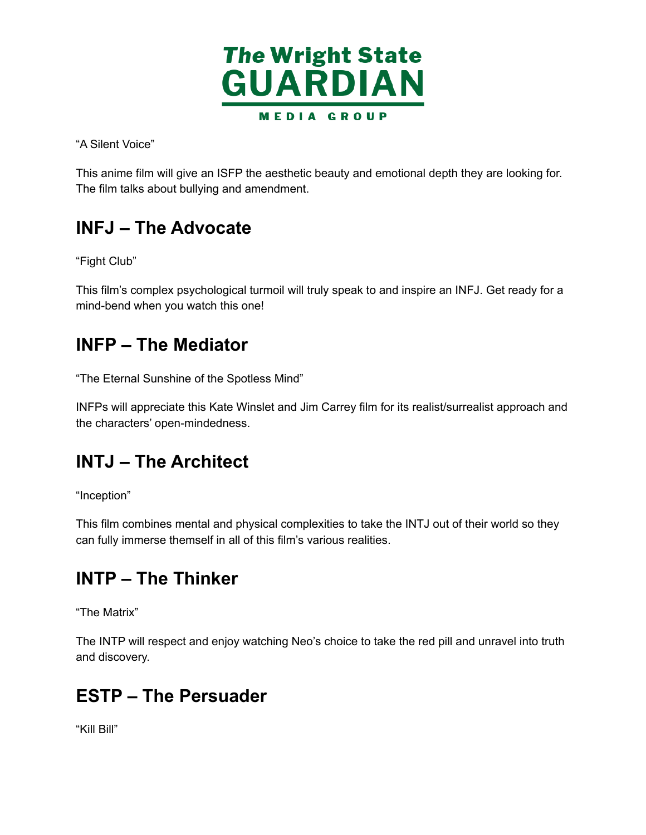

"A Silent Voice"

 This anime film will give an ISFP the aesthetic beauty and emotional depth they are looking for. The film talks about bullying and amendment.

# **INFJ – The Advocate**

"Fight Club"

 This film's complex psychological turmoil will truly speak to and inspire an INFJ. Get ready for a mind-bend when you watch this one!

### **INFP – The Mediator**

"The Eternal Sunshine of the Spotless Mind"

 INFPs will appreciate this Kate Winslet and Jim Carrey film for its realist/surrealist approach and the characters' open-mindedness.

#### **INTJ – The Architect**

"Inception"

 This film combines mental and physical complexities to take the INTJ out of their world so they can fully immerse themself in all of this film's various realities.

# **INTP – The Thinker**

"The Matrix"

 The INTP will respect and enjoy watching Neo's choice to take the red pill and unravel into truth and discovery.

# **ESTP – The Persuader**

"Kill Bill"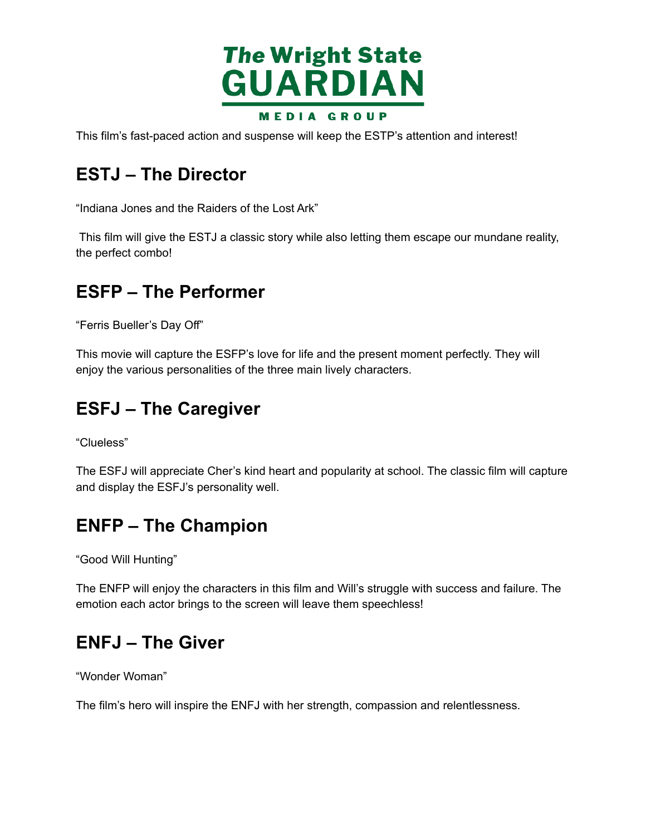

This film's fast-paced action and suspense will keep the ESTP's attention and interest!

# **ESTJ – The Director**

"Indiana Jones and the Raiders of the Lost Ark"

 This film will give the ESTJ a classic story while also letting them escape our mundane reality, the perfect combo!

### **ESFP – The Performer**

"Ferris Bueller's Day Off"

 This movie will capture the ESFP's love for life and the present moment perfectly. They will enjoy the various personalities of the three main lively characters.

#### **ESFJ – The Caregiver**

"Clueless"

 The ESFJ will appreciate Cher's kind heart and popularity at school. The classic film will capture and display the ESFJ's personality well.

#### **ENFP – The Champion**

"Good Will Hunting"

 The ENFP will enjoy the characters in this film and Will's struggle with success and failure. The emotion each actor brings to the screen will leave them speechless!

#### **ENFJ – The Giver**

"Wonder Woman"

The film's hero will inspire the ENFJ with her strength, compassion and relentlessness.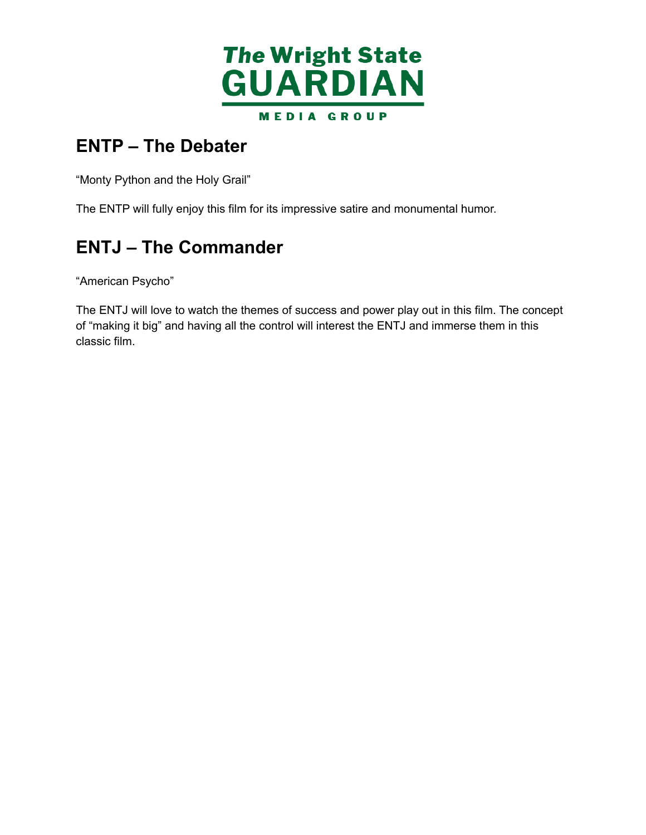

# **ENTP – The Debater**

"Monty Python and the Holy Grail"

The ENTP will fully enjoy this film for its impressive satire and monumental humor.

# **ENTJ – The Commander**

"American Psycho"

 The ENTJ will love to watch the themes of success and power play out in this film. The concept of "making it big" and having all the control will interest the ENTJ and immerse them in this classic film.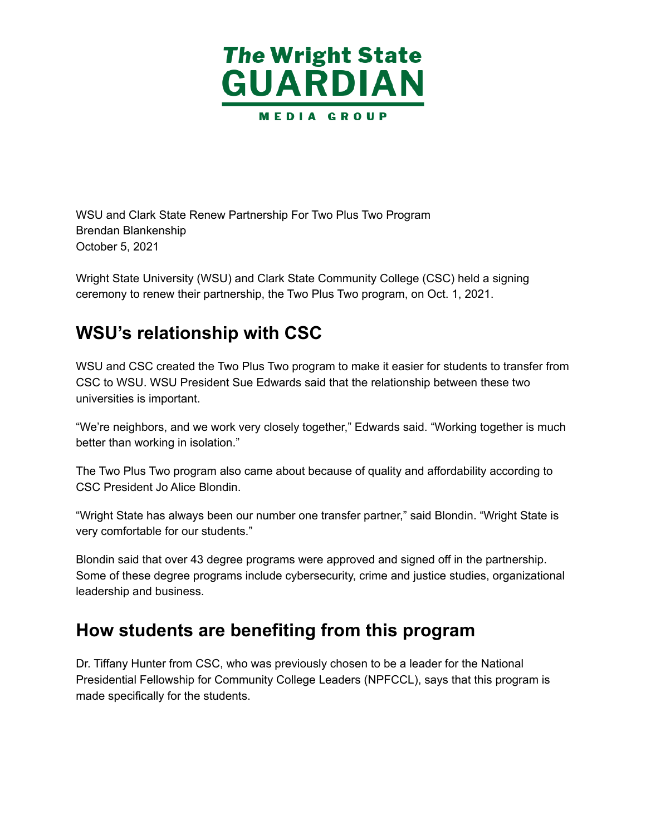

 WSU and Clark State Renew Partnership For Two Plus Two Program October 5, 2021 Brendan Blankenship

 Wright State University (WSU) and Clark State Community College (CSC) held a signing ceremony to renew their partnership, the Two Plus Two program, on Oct. 1, 2021.

# **WSU's relationship with CSC**

 WSU and CSC created the Two Plus Two program to make it easier for students to transfer from CSC to WSU. WSU President Sue Edwards said that the relationship between these two universities is important.

 "We're neighbors, and we work very closely together," Edwards said. "Working together is much better than working in isolation."

 The Two Plus Two program also came about because of quality and affordability according to CSC President Jo Alice Blondin.

 "Wright State has always been our number one transfer partner," said Blondin. "Wright State is very comfortable for our students."

 Blondin said that over 43 degree programs were approved and signed off in the partnership. Some of these degree programs include cybersecurity, crime and justice studies, organizational leadership and business.

# **How students are benefiting from this program**

 Dr. Tiffany Hunter from CSC, who was previously chosen to be a leader for the National Presidential Fellowship for Community College Leaders (NPFCCL), says that this program is made specifically for the students.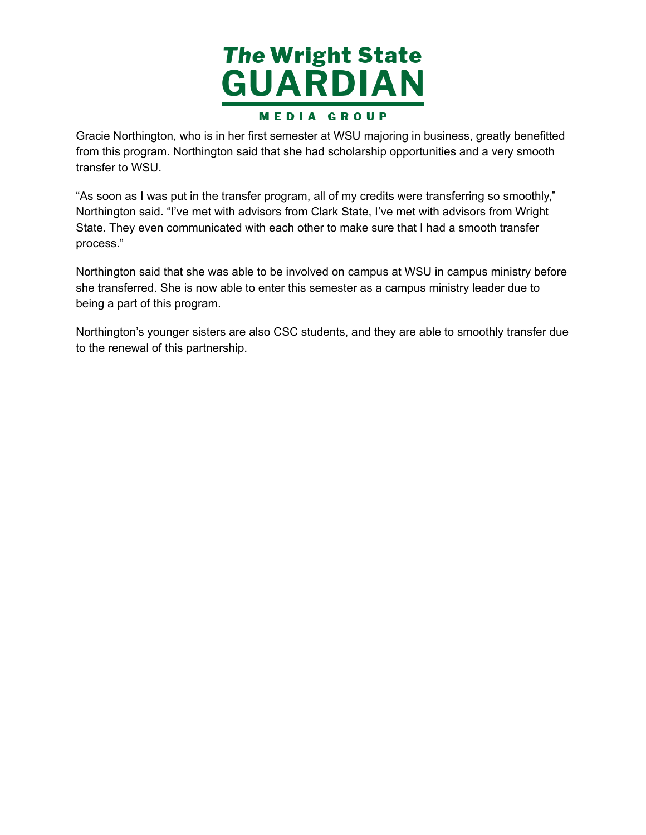

 Gracie Northington, who is in her first semester at WSU majoring in business, greatly benefitted from this program. Northington said that she had scholarship opportunities and a very smooth transfer to WSU.

 "As soon as I was put in the transfer program, all of my credits were transferring so smoothly," Northington said. "I've met with advisors from Clark State, I've met with advisors from Wright State. They even communicated with each other to make sure that I had a smooth transfer process."

 Northington said that she was able to be involved on campus at WSU in campus ministry before she transferred. She is now able to enter this semester as a campus ministry leader due to being a part of this program.

 Northington's younger sisters are also CSC students, and they are able to smoothly transfer due to the renewal of this partnership.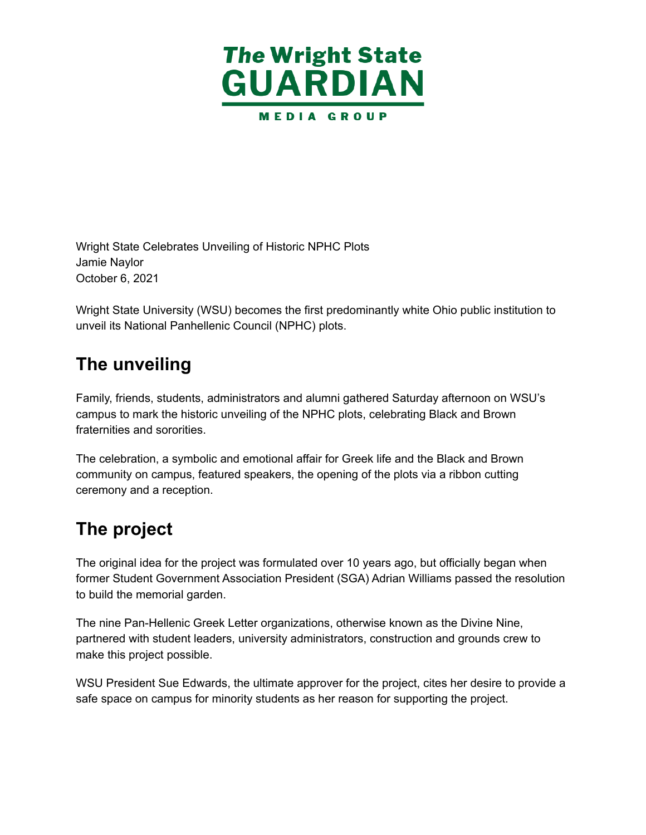

 Wright State Celebrates Unveiling of Historic NPHC Plots October 6, 2021 Jamie Naylor

 Wright State University (WSU) becomes the first predominantly white Ohio public institution to unveil its National Panhellenic Council (NPHC) plots.

# **The unveiling**

 Family, friends, students, administrators and alumni gathered Saturday afternoon on WSU's campus to mark the historic unveiling of the NPHC plots, celebrating Black and Brown fraternities and sororities.

 The celebration, a symbolic and emotional affair for Greek life and the Black and Brown community on campus, featured speakers, the opening of the plots via a ribbon cutting ceremony and a reception.

# **The project**

 The original idea for the project was formulated over 10 years ago, but officially began when former Student Government Association President (SGA) Adrian Williams passed the resolution to build the memorial garden.

 The nine Pan-Hellenic Greek Letter organizations, otherwise known as the Divine Nine, partnered with student leaders, university administrators, construction and grounds crew to make this project possible.

 WSU President Sue Edwards, the ultimate approver for the project, cites her desire to provide a safe space on campus for minority students as her reason for supporting the project.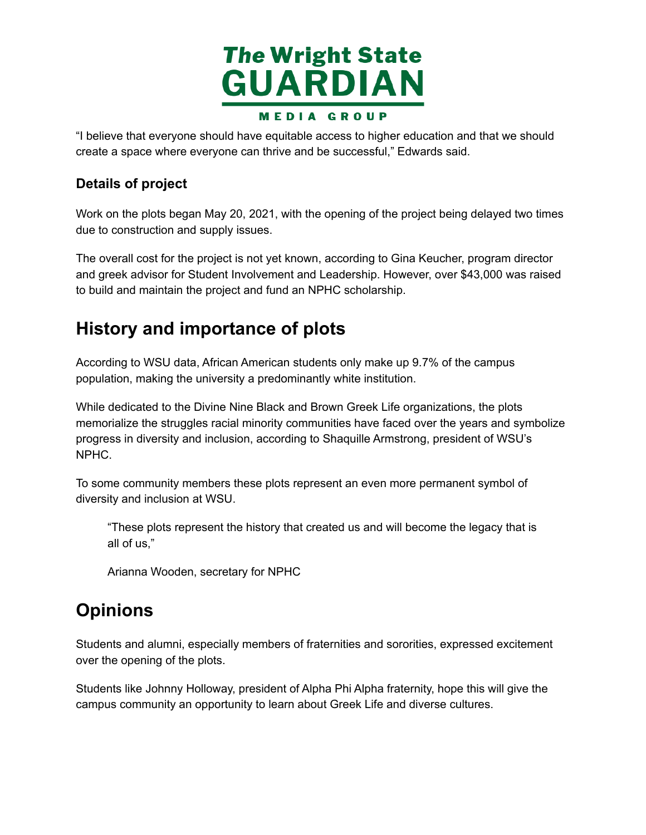

 "I believe that everyone should have equitable access to higher education and that we should create a space where everyone can thrive and be successful," Edwards said.

#### **Details of project**

 Work on the plots began May 20, 2021, with the opening of the project being delayed two times due to construction and supply issues.

 The overall cost for the project is not yet known, according to Gina Keucher, program director and greek advisor for Student Involvement and Leadership. However, over \$43,000 was raised to build and maintain the project and fund an NPHC scholarship.

# **History and importance of plots**

 According to WSU data, African American students only make up 9.7% of the campus population, making the university a predominantly white institution.

 While dedicated to the Divine Nine Black and Brown Greek Life organizations, the plots memorialize the struggles racial minority communities have faced over the years and symbolize progress in diversity and inclusion, according to Shaquille Armstrong, president of WSU's NPHC.

 To some community members these plots represent an even more permanent symbol of diversity and inclusion at WSU.

 "These plots represent the history that created us and will become the legacy that is all of us,"

Arianna Wooden, secretary for NPHC

# **Opinions**

 Students and alumni, especially members of fraternities and sororities, expressed excitement over the opening of the plots.

 Students like Johnny Holloway, president of Alpha Phi Alpha fraternity, hope this will give the campus community an opportunity to learn about Greek Life and diverse cultures.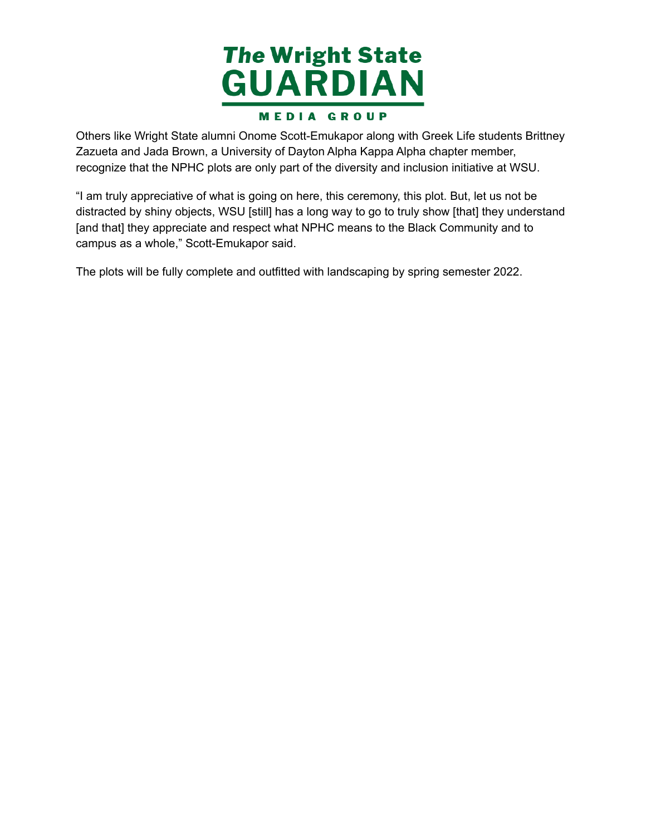

 Others like Wright State alumni Onome Scott-Emukapor along with Greek Life students Brittney Zazueta and Jada Brown, a University of Dayton Alpha Kappa Alpha chapter member, recognize that the NPHC plots are only part of the diversity and inclusion initiative at WSU.

 "I am truly appreciative of what is going on here, this ceremony, this plot. But, let us not be distracted by shiny objects, WSU [still] has a long way to go to truly show [that] they understand [and that] they appreciate and respect what NPHC means to the Black Community and to campus as a whole," Scott-Emukapor said.

The plots will be fully complete and outfitted with landscaping by spring semester 2022.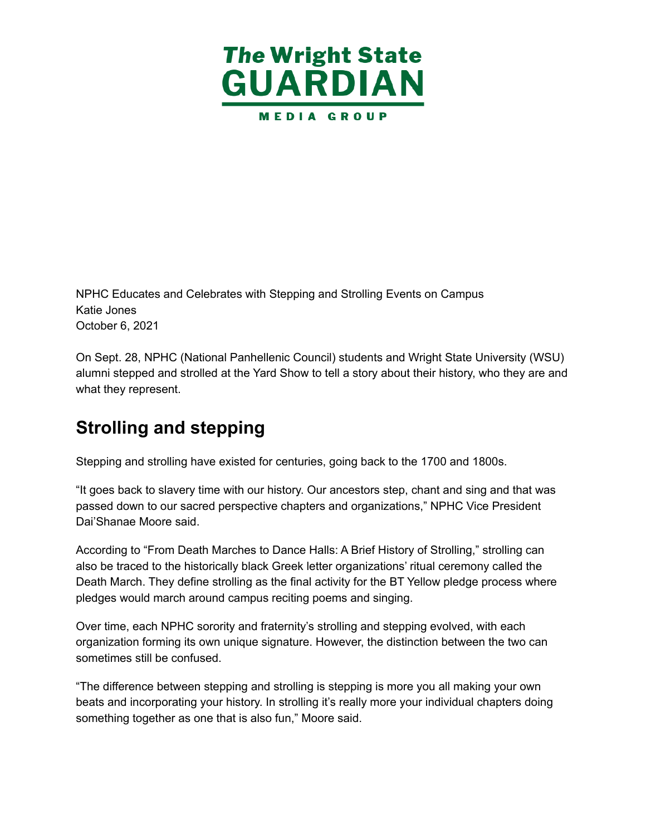

 NPHC Educates and Celebrates with Stepping and Strolling Events on Campus October 6, 2021 Katie Jones

 On Sept. 28, NPHC (National Panhellenic Council) students and Wright State University (WSU) alumni stepped and strolled at the Yard Show to tell a story about their history, who they are and what they represent.

# **Strolling and stepping**

Stepping and strolling have existed for centuries, going back to the 1700 and 1800s.

 "It goes back to slavery time with our history. Our ancestors step, chant and sing and that was passed down to our sacred perspective chapters and organizations," NPHC Vice President Dai'Shanae Moore said.

 According to "From Death Marches to Dance Halls: A Brief History of Strolling," strolling can also be traced to the historically black Greek letter organizations' ritual ceremony called the Death March. They define strolling as the final activity for the BT Yellow pledge process where pledges would march around campus reciting poems and singing.

 Over time, each NPHC sorority and fraternity's strolling and stepping evolved, with each organization forming its own unique signature. However, the distinction between the two can sometimes still be confused.

 "The difference between stepping and strolling is stepping is more you all making your own beats and incorporating your history. In strolling it's really more your individual chapters doing something together as one that is also fun," Moore said.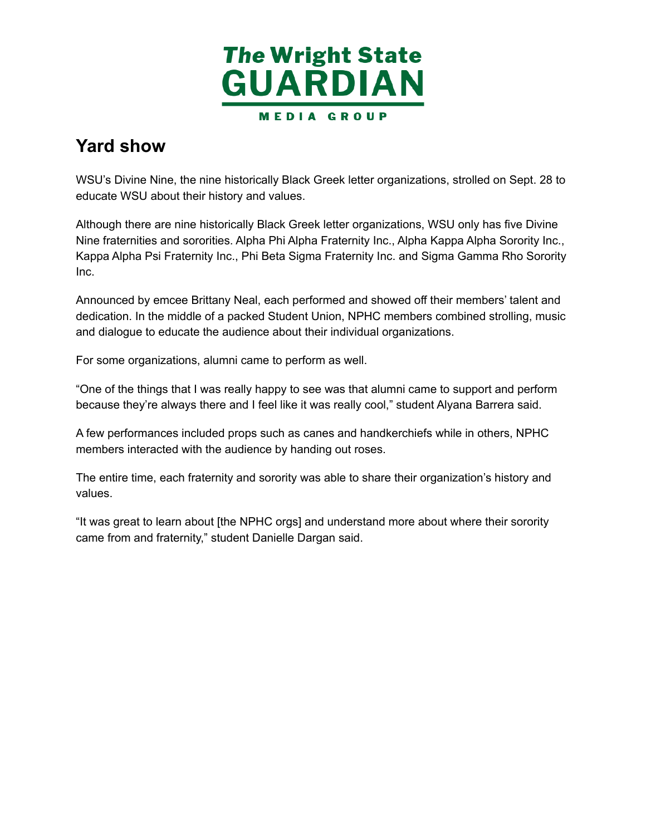

#### **Yard show**

 WSU's Divine Nine, the nine historically Black Greek letter organizations, strolled on Sept. 28 to educate WSU about their history and values.

 Although there are nine historically Black Greek letter organizations, WSU only has five Divine Nine fraternities and sororities. Alpha Phi Alpha Fraternity Inc., Alpha Kappa Alpha Sorority Inc., Kappa Alpha Psi Fraternity Inc., Phi Beta Sigma Fraternity Inc. and Sigma Gamma Rho Sorority Inc.

 Announced by emcee Brittany Neal, each performed and showed off their members' talent and dedication. In the middle of a packed Student Union, NPHC members combined strolling, music and dialogue to educate the audience about their individual organizations.

For some organizations, alumni came to perform as well.

 "One of the things that I was really happy to see was that alumni came to support and perform because they're always there and I feel like it was really cool," student Alyana Barrera said.

 A few performances included props such as canes and handkerchiefs while in others, NPHC members interacted with the audience by handing out roses.

 The entire time, each fraternity and sorority was able to share their organization's history and values.

 "It was great to learn about [the NPHC orgs] and understand more about where their sorority came from and fraternity," student Danielle Dargan said.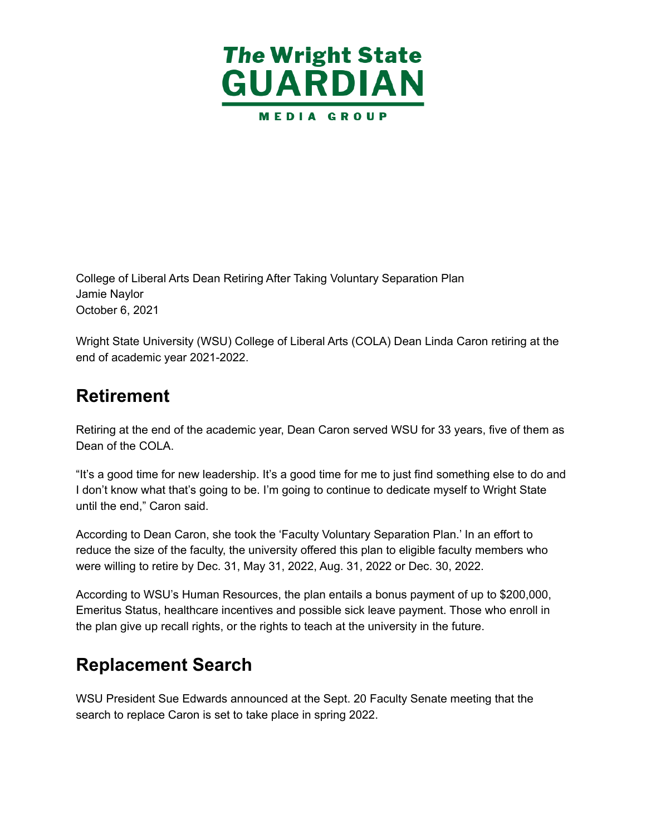

 College of Liberal Arts Dean Retiring After Taking Voluntary Separation Plan October 6, 2021 Jamie Naylor

 Wright State University (WSU) College of Liberal Arts (COLA) Dean Linda Caron retiring at the end of academic year 2021-2022.

### **Retirement**

 Retiring at the end of the academic year, Dean Caron served WSU for 33 years, five of them as Dean of the COLA.

 "It's a good time for new leadership. It's a good time for me to just find something else to do and I don't know what that's going to be. I'm going to continue to dedicate myself to Wright State until the end," Caron said.

 According to Dean Caron, she took the 'Faculty Voluntary Separation Plan.' In an effort to reduce the size of the faculty, the university offered this plan to eligible faculty members who were willing to retire by Dec. 31, May 31, 2022, Aug. 31, 2022 or Dec. 30, 2022.

 According to WSU's Human Resources, the plan entails a bonus payment of up to \$200,000, Emeritus Status, healthcare incentives and possible sick leave payment. Those who enroll in the plan give up recall rights, or the rights to teach at the university in the future.

# **Replacement Search**

 WSU President Sue Edwards announced at the Sept. 20 Faculty Senate meeting that the search to replace Caron is set to take place in spring 2022.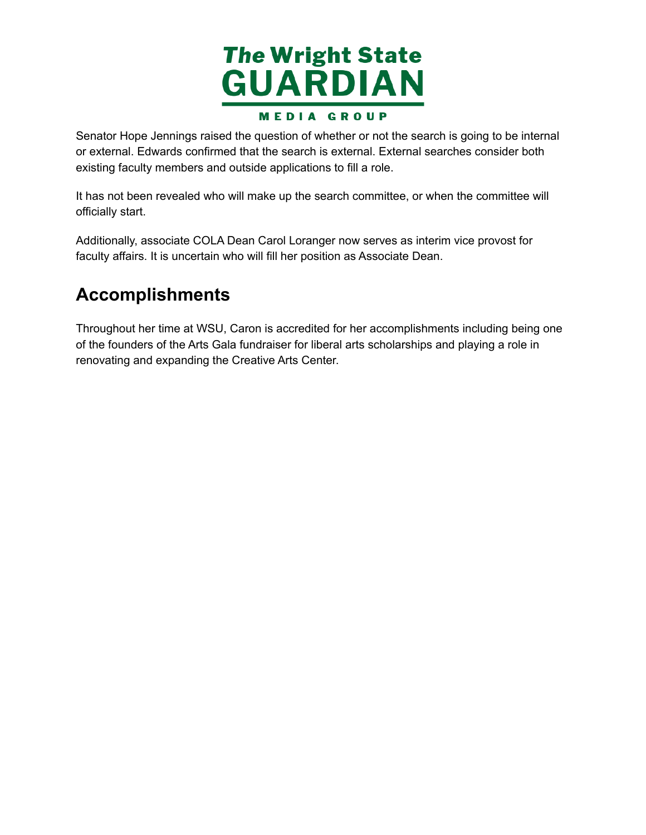

 Senator Hope Jennings raised the question of whether or not the search is going to be internal or external. Edwards confirmed that the search is external. External searches consider both existing faculty members and outside applications to fill a role.

 It has not been revealed who will make up the search committee, or when the committee will officially start.

 Additionally, associate COLA Dean Carol Loranger now serves as interim vice provost for faculty affairs. It is uncertain who will fill her position as Associate Dean.

# **Accomplishments**

 Throughout her time at WSU, Caron is accredited for her accomplishments including being one of the founders of the Arts Gala fundraiser for liberal arts scholarships and playing a role in renovating and expanding the Creative Arts Center.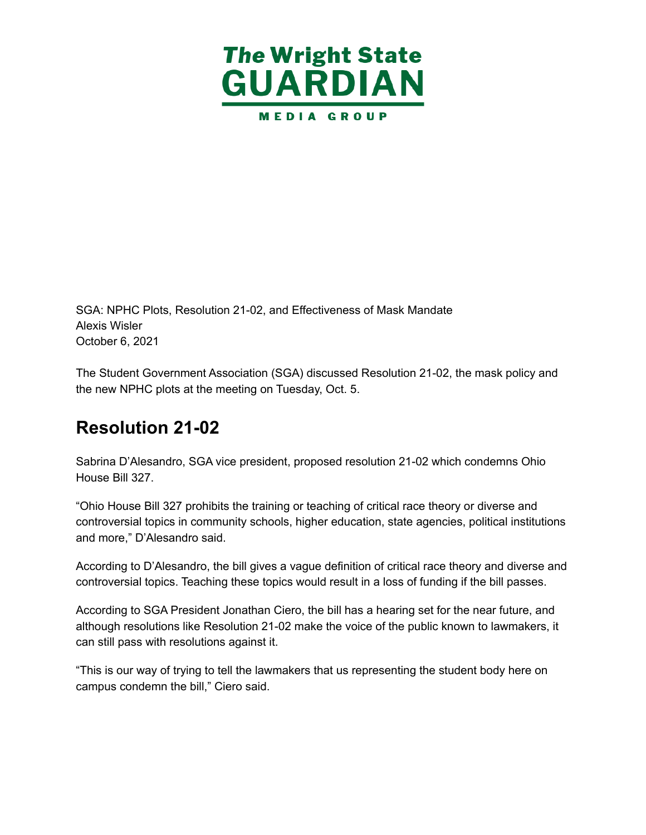

 SGA: NPHC Plots, Resolution 21-02, and Effectiveness of Mask Mandate October 6, 2021 Alexis Wisler

 The Student Government Association (SGA) discussed Resolution 21-02, the mask policy and the new NPHC plots at the meeting on Tuesday, Oct. 5.

# **Resolution 21-02**

 Sabrina D'Alesandro, SGA vice president, proposed resolution 21-02 which condemns Ohio House Bill 327.

 "Ohio House Bill 327 prohibits the training or teaching of critical race theory or diverse and controversial topics in community schools, higher education, state agencies, political institutions and more," D'Alesandro said.

 According to D'Alesandro, the bill gives a vague definition of critical race theory and diverse and controversial topics. Teaching these topics would result in a loss of funding if the bill passes.

 According to SGA President Jonathan Ciero, the bill has a hearing set for the near future, and although resolutions like Resolution 21-02 make the voice of the public known to lawmakers, it can still pass with resolutions against it.

 "This is our way of trying to tell the lawmakers that us representing the student body here on campus condemn the bill," Ciero said.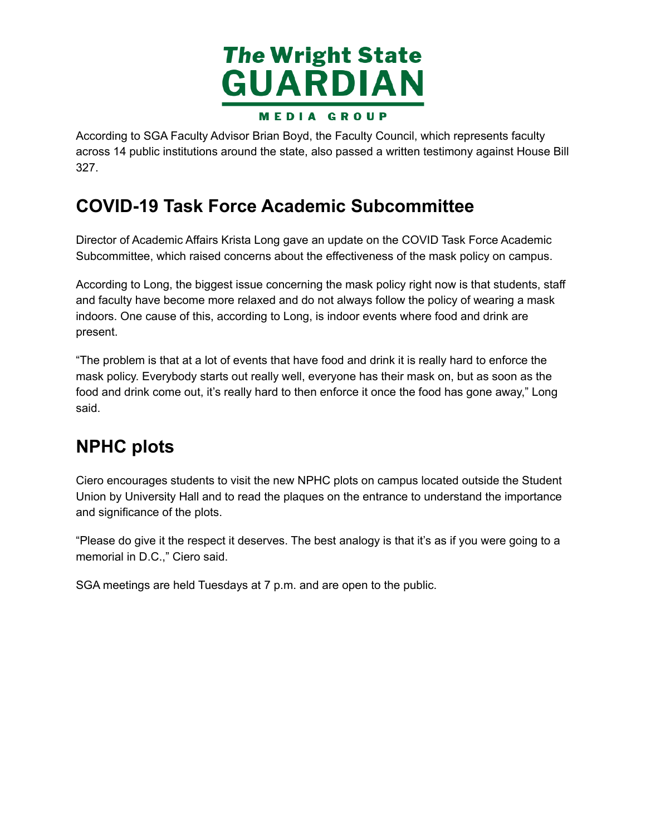

 According to SGA Faculty Advisor Brian Boyd, the Faculty Council, which represents faculty across 14 public institutions around the state, also passed a written testimony against House Bill 327.

# **COVID-19 Task Force Academic Subcommittee**

 Director of Academic Affairs Krista Long gave an update on the COVID Task Force Academic Subcommittee, which raised concerns about the effectiveness of the mask policy on campus.

 According to Long, the biggest issue concerning the mask policy right now is that students, staff and faculty have become more relaxed and do not always follow the policy of wearing a mask indoors. One cause of this, according to Long, is indoor events where food and drink are present.

 "The problem is that at a lot of events that have food and drink it is really hard to enforce the mask policy. Everybody starts out really well, everyone has their mask on, but as soon as the food and drink come out, it's really hard to then enforce it once the food has gone away," Long said.

# **NPHC plots**

 Ciero encourages students to visit the new NPHC plots on campus located outside the Student Union by University Hall and to read the plaques on the entrance to understand the importance and significance of the plots.

 "Please do give it the respect it deserves. The best analogy is that it's as if you were going to a memorial in D.C.," Ciero said.

SGA meetings are held Tuesdays at 7 p.m. and are open to the public.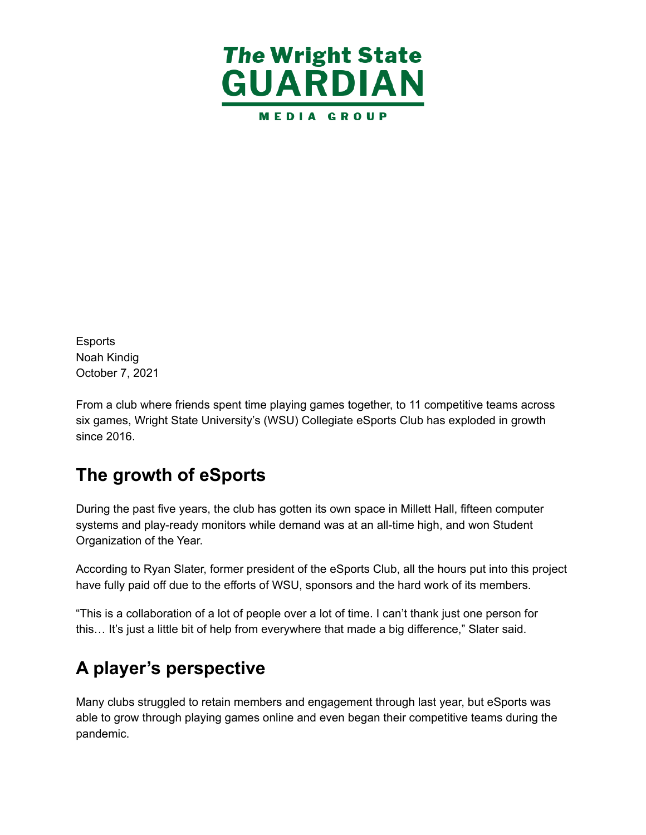

 October 7, 2021 **Esports** Noah Kindig

 From a club where friends spent time playing games together, to 11 competitive teams across six games, Wright State University's (WSU) Collegiate eSports Club has exploded in growth since 2016.

# **The growth of eSports**

 During the past five years, the club has gotten its own space in Millett Hall, fifteen computer systems and play-ready monitors while demand was at an all-time high, and won Student Organization of the Year.

 According to Ryan Slater, former president of the eSports Club, all the hours put into this project have fully paid off due to the efforts of WSU, sponsors and the hard work of its members.

 "This is a collaboration of a lot of people over a lot of time. I can't thank just one person for this… It's just a little bit of help from everywhere that made a big difference," Slater said.

# **A player's perspective**

 Many clubs struggled to retain members and engagement through last year, but eSports was able to grow through playing games online and even began their competitive teams during the pandemic.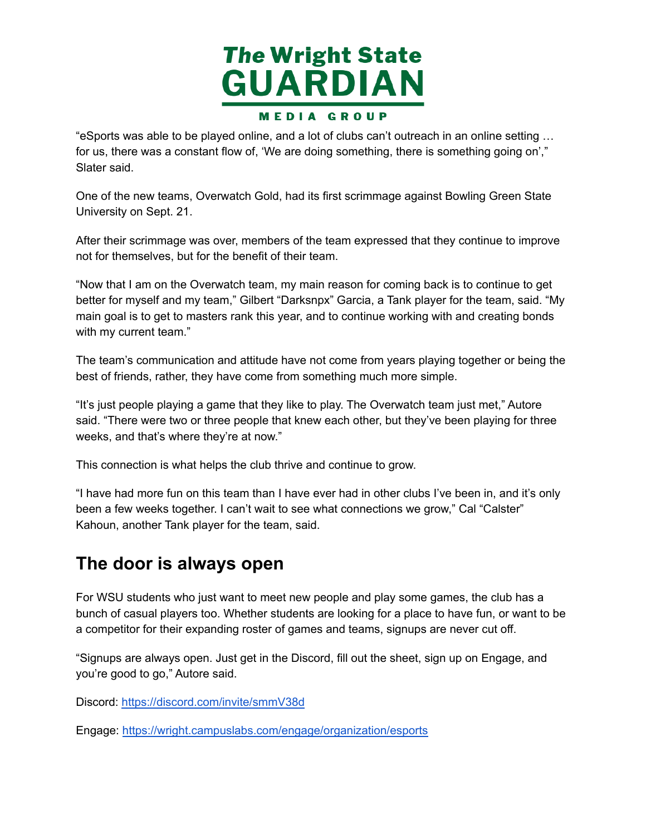

 "eSports was able to be played online, and a lot of clubs can't outreach in an online setting … for us, there was a constant flow of, 'We are doing something, there is something going on'," Slater said.

 One of the new teams, Overwatch Gold, had its first scrimmage against Bowling Green State University on Sept. 21.

 After their scrimmage was over, members of the team expressed that they continue to improve not for themselves, but for the benefit of their team.

 "Now that I am on the Overwatch team, my main reason for coming back is to continue to get better for myself and my team," Gilbert "Darksnpx" Garcia, a Tank player for the team, said. "My main goal is to get to masters rank this year, and to continue working with and creating bonds with my current team."

 The team's communication and attitude have not come from years playing together or being the best of friends, rather, they have come from something much more simple.

 "It's just people playing a game that they like to play. The Overwatch team just met," Autore said. "There were two or three people that knew each other, but they've been playing for three weeks, and that's where they're at now."

This connection is what helps the club thrive and continue to grow.

 "I have had more fun on this team than I have ever had in other clubs I've been in, and it's only been a few weeks together. I can't wait to see what connections we grow," Cal "Calster" Kahoun, another Tank player for the team, said.

#### **The door is always open**

 For WSU students who just want to meet new people and play some games, the club has a bunch of casual players too. Whether students are looking for a place to have fun, or want to be a competitor for their expanding roster of games and teams, signups are never cut off.

 "Signups are always open. Just get in the Discord, fill out the sheet, sign up on Engage, and you're good to go," Autore said.

Discord: <https://discord.com/invite/smmV38d>

Engage: <https://wright.campuslabs.com/engage/organization/esports>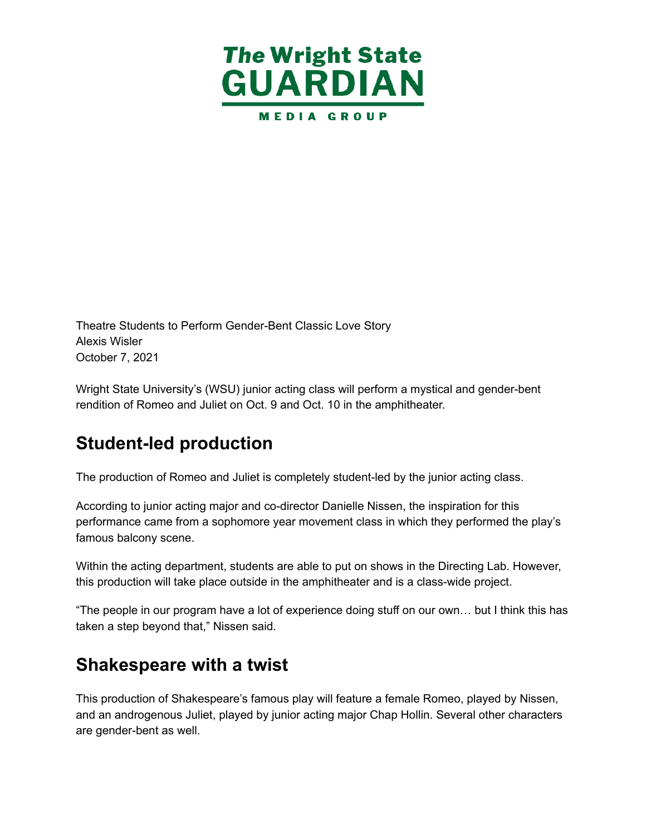

 Theatre Students to Perform Gender-Bent Classic Love Story October 7, 2021 Alexis Wisler

 Wright State University's (WSU) junior acting class will perform a mystical and gender-bent rendition of Romeo and Juliet on Oct. 9 and Oct. 10 in the amphitheater.

# **Student-led production**

The production of Romeo and Juliet is completely student-led by the junior acting class.

 According to junior acting major and co-director Danielle Nissen, the inspiration for this performance came from a sophomore year movement class in which they performed the play's famous balcony scene.

 Within the acting department, students are able to put on shows in the Directing Lab. However, this production will take place outside in the amphitheater and is a class-wide project.

 "The people in our program have a lot of experience doing stuff on our own… but I think this has taken a step beyond that," Nissen said.

#### **Shakespeare with a twist**

 This production of Shakespeare's famous play will feature a female Romeo, played by Nissen, and an androgenous Juliet, played by junior acting major Chap Hollin. Several other characters are gender-bent as well.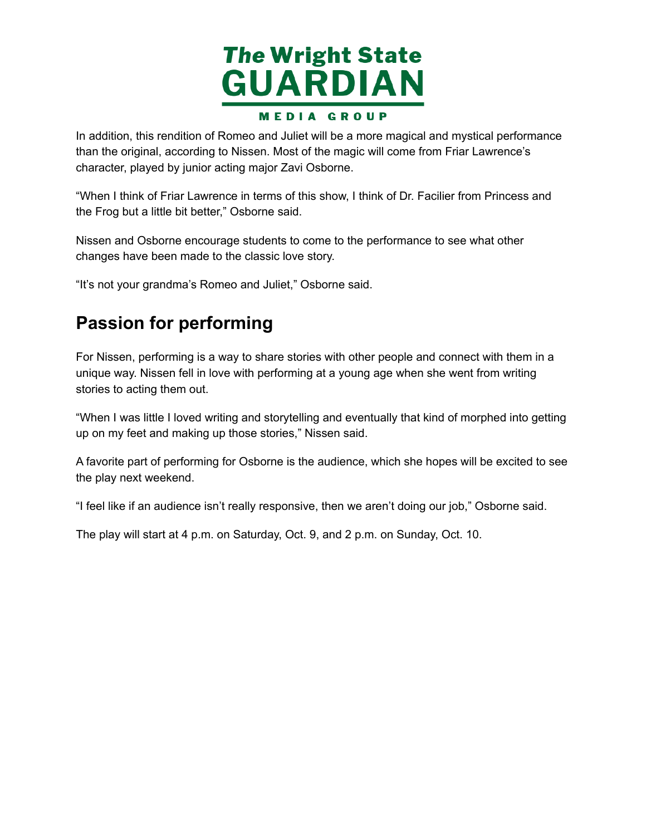

 In addition, this rendition of Romeo and Juliet will be a more magical and mystical performance than the original, according to Nissen. Most of the magic will come from Friar Lawrence's character, played by junior acting major Zavi Osborne.

 "When I think of Friar Lawrence in terms of this show, I think of Dr. Facilier from Princess and the Frog but a little bit better," Osborne said.

 Nissen and Osborne encourage students to come to the performance to see what other changes have been made to the classic love story.

"It's not your grandma's Romeo and Juliet," Osborne said.

### **Passion for performing**

 For Nissen, performing is a way to share stories with other people and connect with them in a unique way. Nissen fell in love with performing at a young age when she went from writing stories to acting them out.

 "When I was little I loved writing and storytelling and eventually that kind of morphed into getting up on my feet and making up those stories," Nissen said.

 A favorite part of performing for Osborne is the audience, which she hopes will be excited to see the play next weekend.

"I feel like if an audience isn't really responsive, then we aren't doing our job," Osborne said.

The play will start at 4 p.m. on Saturday, Oct. 9, and 2 p.m. on Sunday, Oct. 10.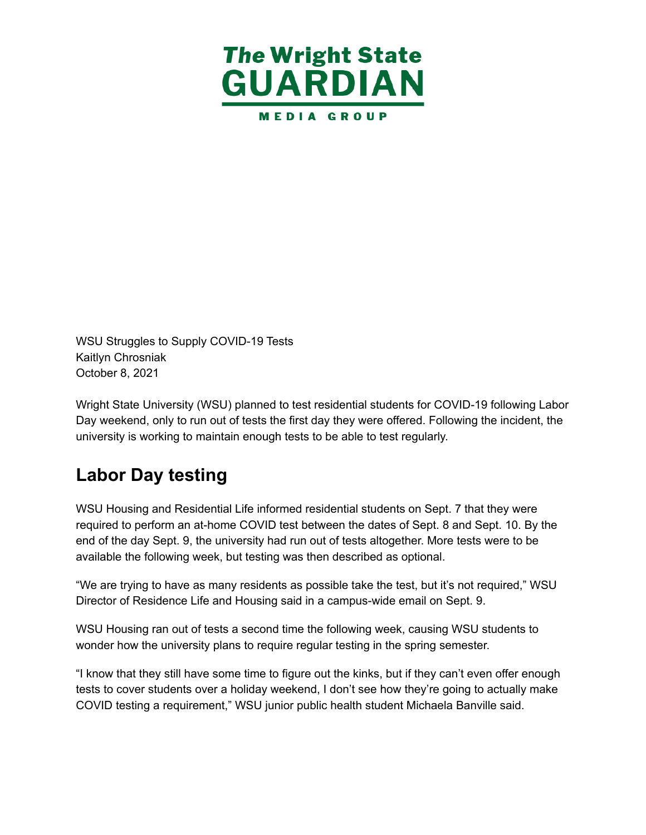

 WSU Struggles to Supply COVID-19 Tests October 8, 2021 Kaitlyn Chrosniak

 Wright State University (WSU) planned to test residential students for COVID-19 following Labor Day weekend, only to run out of tests the first day they were offered. Following the incident, the university is working to maintain enough tests to be able to test regularly.

# **Labor Day testing**

 WSU Housing and Residential Life informed residential students on Sept. 7 that they were required to perform an at-home COVID test between the dates of Sept. 8 and Sept. 10. By the end of the day Sept. 9, the university had run out of tests altogether. More tests were to be available the following week, but testing was then described as optional.

 "We are trying to have as many residents as possible take the test, but it's not required," WSU Director of Residence Life and Housing said in a campus-wide email on Sept. 9.

 WSU Housing ran out of tests a second time the following week, causing WSU students to wonder how the university plans to require regular testing in the spring semester.

 "I know that they still have some time to figure out the kinks, but if they can't even offer enough tests to cover students over a holiday weekend, I don't see how they're going to actually make COVID testing a requirement," WSU junior public health student Michaela Banville said.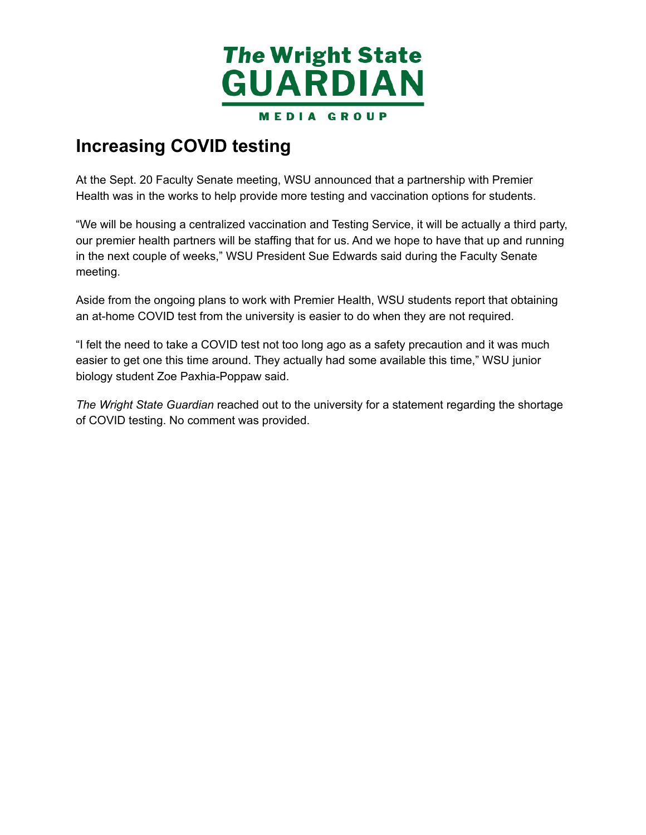

### **Increasing COVID testing**

 At the Sept. 20 Faculty Senate meeting, WSU announced that a partnership with Premier Health was in the works to help provide more testing and vaccination options for students.

 "We will be housing a centralized vaccination and Testing Service, it will be actually a third party, our premier health partners will be staffing that for us. And we hope to have that up and running in the next couple of weeks," WSU President Sue Edwards said during the Faculty Senate meeting.

 Aside from the ongoing plans to work with Premier Health, WSU students report that obtaining an at-home COVID test from the university is easier to do when they are not required.

 "I felt the need to take a COVID test not too long ago as a safety precaution and it was much easier to get one this time around. They actually had some available this time," WSU junior biology student Zoe Paxhia-Poppaw said.

 *The Wright State Guardian* reached out to the university for a statement regarding the shortage of COVID testing. No comment was provided.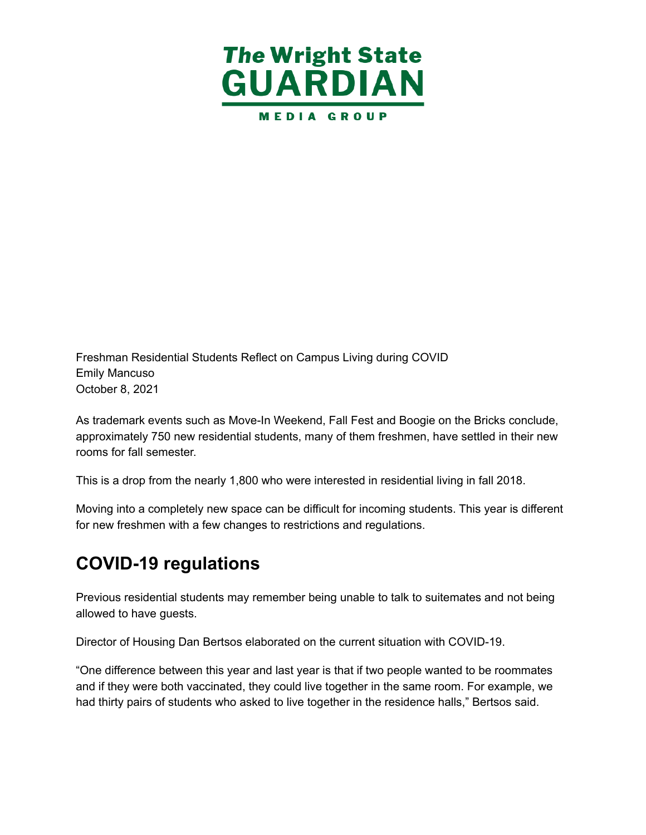

 Freshman Residential Students Reflect on Campus Living during COVID October 8, 2021 Emily Mancuso

 As trademark events such as Move-In Weekend, Fall Fest and Boogie on the Bricks conclude, approximately 750 new residential students, many of them freshmen, have settled in their new rooms for fall semester.

This is a drop from the nearly 1,800 who were interested in residential living in fall 2018.

 Moving into a completely new space can be difficult for incoming students. This year is different for new freshmen with a few changes to restrictions and regulations.

# **COVID-19 regulations**

 Previous residential students may remember being unable to talk to suitemates and not being allowed to have guests.

Director of Housing Dan Bertsos elaborated on the current situation with COVID-19.

 "One difference between this year and last year is that if two people wanted to be roommates and if they were both vaccinated, they could live together in the same room. For example, we had thirty pairs of students who asked to live together in the residence halls," Bertsos said.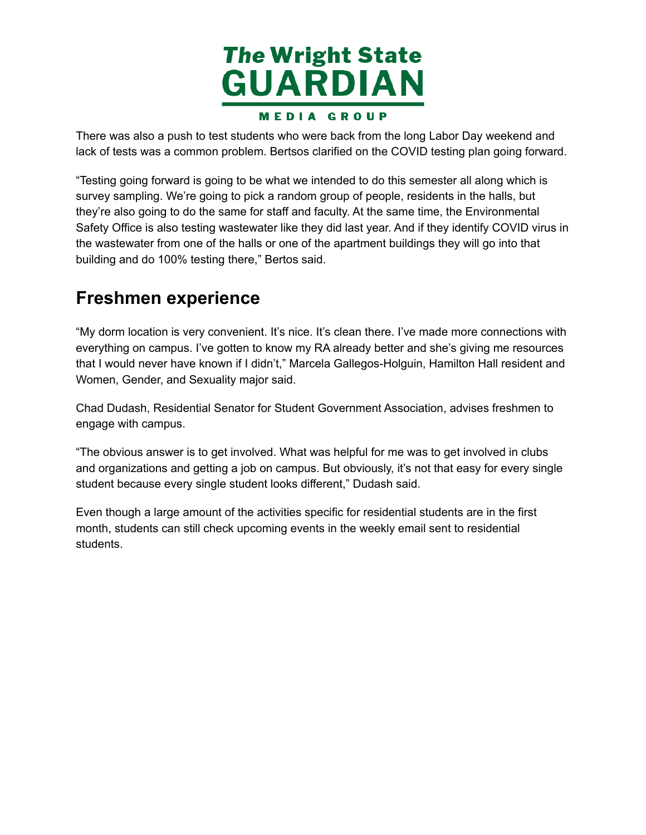

 There was also a push to test students who were back from the long Labor Day weekend and lack of tests was a common problem. Bertsos clarified on the COVID testing plan going forward.

 "Testing going forward is going to be what we intended to do this semester all along which is survey sampling. We're going to pick a random group of people, residents in the halls, but they're also going to do the same for staff and faculty. At the same time, the Environmental Safety Office is also testing wastewater like they did last year. And if they identify COVID virus in the wastewater from one of the halls or one of the apartment buildings they will go into that building and do 100% testing there," Bertos said.

#### **Freshmen experience**

 "My dorm location is very convenient. It's nice. It's clean there. I've made more connections with everything on campus. I've gotten to know my RA already better and she's giving me resources that I would never have known if I didn't," Marcela Gallegos-Holguin, Hamilton Hall resident and Women, Gender, and Sexuality major said.

 Chad Dudash, Residential Senator for Student Government Association, advises freshmen to engage with campus.

 "The obvious answer is to get involved. What was helpful for me was to get involved in clubs and organizations and getting a job on campus. But obviously, it's not that easy for every single student because every single student looks different," Dudash said.

 Even though a large amount of the activities specific for residential students are in the first month, students can still check upcoming events in the weekly email sent to residential students.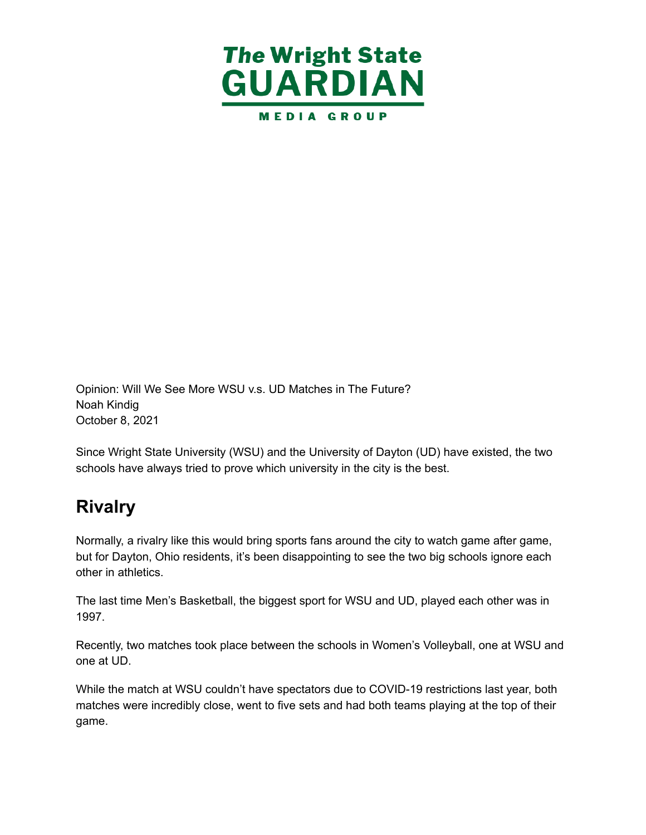

 Opinion: Will We See More WSU v.s. UD Matches in The Future? October 8, 2021 Noah Kindig

 Since Wright State University (WSU) and the University of Dayton (UD) have existed, the two schools have always tried to prove which university in the city is the best.

# **Rivalry**

 Normally, a rivalry like this would bring sports fans around the city to watch game after game, but for Dayton, Ohio residents, it's been disappointing to see the two big schools ignore each other in athletics.

 The last time Men's Basketball, the biggest sport for WSU and UD, played each other was in 1997.

 Recently, two matches took place between the schools in Women's Volleyball, one at WSU and one at UD.

 While the match at WSU couldn't have spectators due to COVID-19 restrictions last year, both matches were incredibly close, went to five sets and had both teams playing at the top of their game.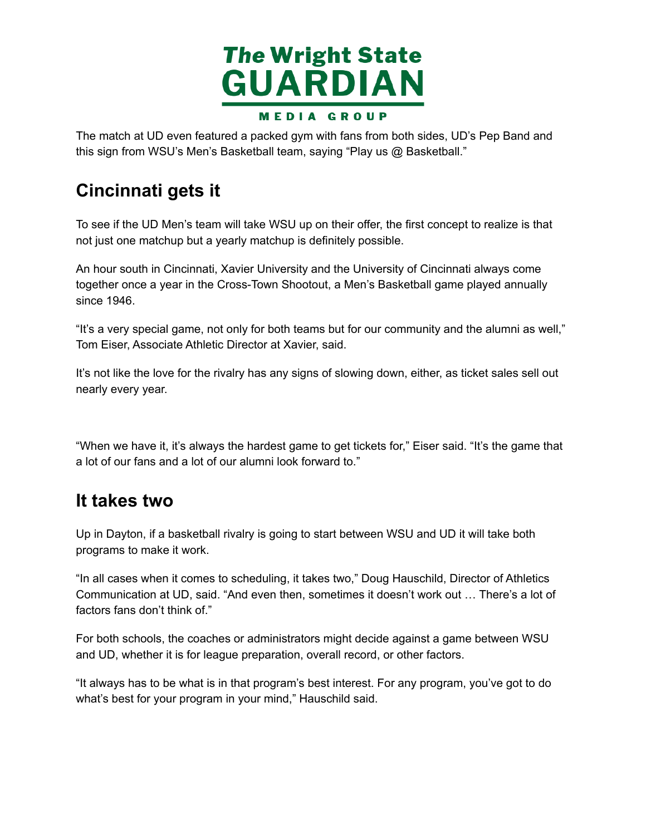

 The match at UD even featured a packed gym with fans from both sides, UD's Pep Band and this sign from WSU's Men's Basketball team, saying "Play us @ Basketball."

# **Cincinnati gets it**

 To see if the UD Men's team will take WSU up on their offer, the first concept to realize is that not just one matchup but a yearly matchup is definitely possible.

 An hour south in Cincinnati, Xavier University and the University of Cincinnati always come together once a year in the Cross-Town Shootout, a Men's Basketball game played annually since 1946.

 "It's a very special game, not only for both teams but for our community and the alumni as well," Tom Eiser, Associate Athletic Director at Xavier, said.

 It's not like the love for the rivalry has any signs of slowing down, either, as ticket sales sell out nearly every year.

 "When we have it, it's always the hardest game to get tickets for," Eiser said. "It's the game that a lot of our fans and a lot of our alumni look forward to."

#### **It takes two**

 Up in Dayton, if a basketball rivalry is going to start between WSU and UD it will take both programs to make it work.

 "In all cases when it comes to scheduling, it takes two," Doug Hauschild, Director of Athletics Communication at UD, said. "And even then, sometimes it doesn't work out … There's a lot of factors fans don't think of."

 For both schools, the coaches or administrators might decide against a game between WSU and UD, whether it is for league preparation, overall record, or other factors.

 "It always has to be what is in that program's best interest. For any program, you've got to do what's best for your program in your mind," Hauschild said.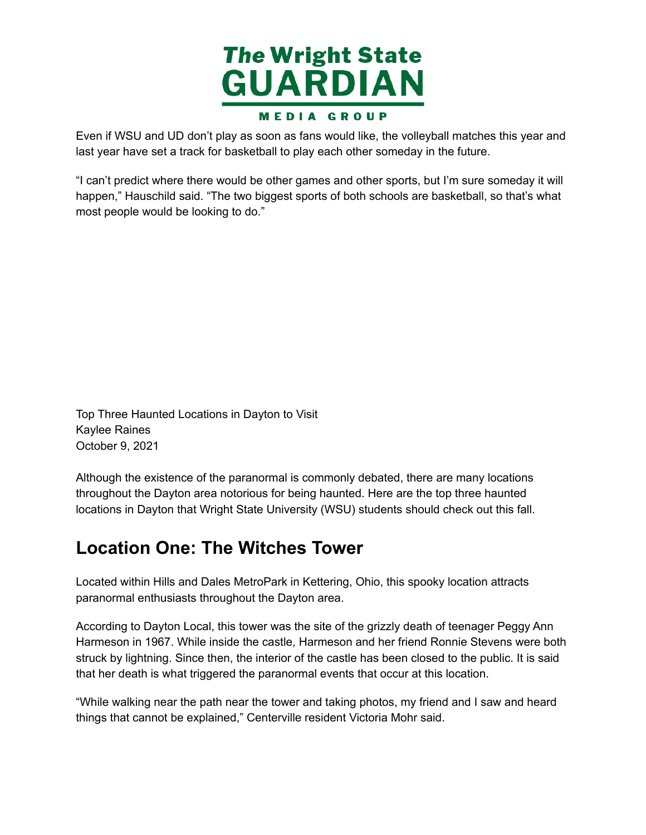

 Even if WSU and UD don't play as soon as fans would like, the volleyball matches this year and last year have set a track for basketball to play each other someday in the future.

 "I can't predict where there would be other games and other sports, but I'm sure someday it will happen," Hauschild said. "The two biggest sports of both schools are basketball, so that's what most people would be looking to do."

 Top Three Haunted Locations in Dayton to Visit October 9, 2021 Kaylee Raines

 Although the existence of the paranormal is commonly debated, there are many locations throughout the Dayton area notorious for being haunted. Here are the top three haunted locations in Dayton that Wright State University (WSU) students should check out this fall.

# **Location One: The Witches Tower**

 Located within Hills and Dales MetroPark in Kettering, Ohio, this spooky location attracts paranormal enthusiasts throughout the Dayton area.

 According to Dayton Local, this tower was the site of the grizzly death of teenager Peggy Ann Harmeson in 1967. While inside the castle, Harmeson and her friend Ronnie Stevens were both struck by lightning. Since then, the interior of the castle has been closed to the public. It is said that her death is what triggered the paranormal events that occur at this location.

 "While walking near the path near the tower and taking photos, my friend and I saw and heard things that cannot be explained," Centerville resident Victoria Mohr said.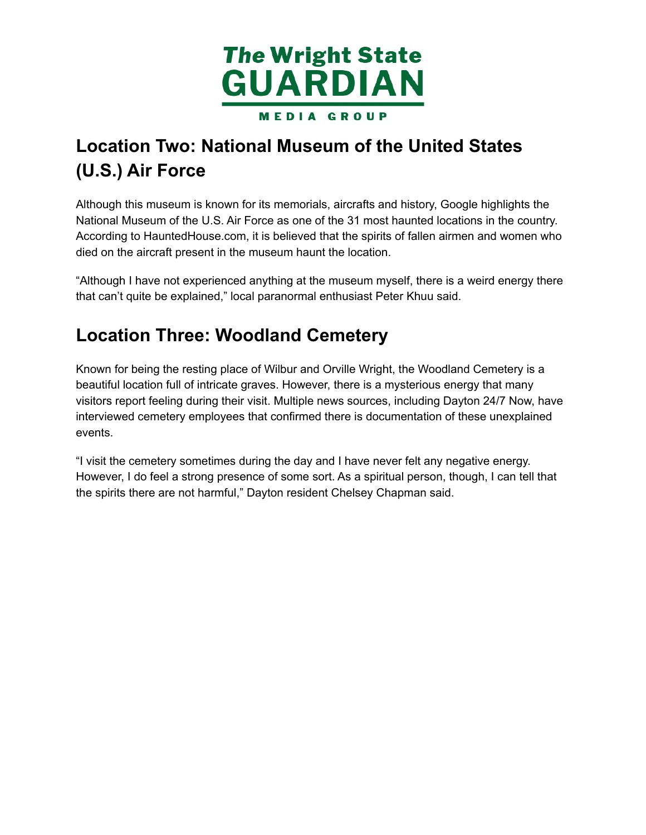

# **Location Two: National Museum of the United States (U.S.) Air Force**

 Although this museum is known for its memorials, aircrafts and history, Google highlights the National Museum of the U.S. Air Force as one of the 31 most haunted locations in the country. According to [HauntedHouse.com](https://HauntedHouse.com), it is believed that the spirits of fallen airmen and women who died on the aircraft present in the museum haunt the location.

 "Although I have not experienced anything at the museum myself, there is a weird energy there that can't quite be explained," local paranormal enthusiast Peter Khuu said.

# **Location Three: Woodland Cemetery**

 Known for being the resting place of Wilbur and Orville Wright, the Woodland Cemetery is a beautiful location full of intricate graves. However, there is a mysterious energy that many visitors report feeling during their visit. Multiple news sources, including Dayton 24/7 Now, have interviewed cemetery employees that confirmed there is documentation of these unexplained events.

 "I visit the cemetery sometimes during the day and I have never felt any negative energy. However, I do feel a strong presence of some sort. As a spiritual person, though, I can tell that the spirits there are not harmful," Dayton resident Chelsey Chapman said.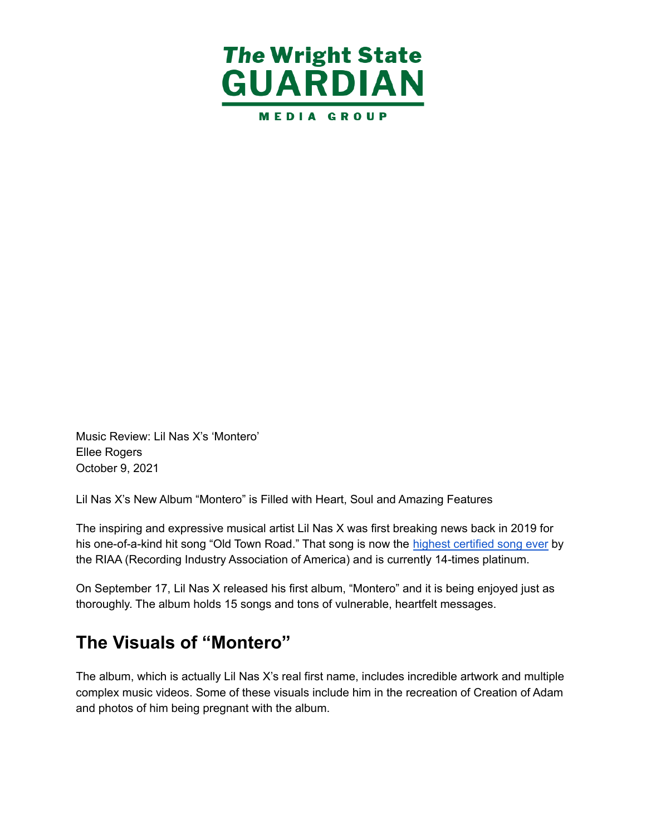

 Music Review: Lil Nas X's 'Montero' October 9, 2021 Ellee Rogers

Lil Nas X's New Album "Montero" is Filled with Heart, Soul and Amazing Features

 The inspiring and expressive musical artist Lil Nas X was first breaking news back in 2019 for his one-of-a-kind hit song "Old Town Road." That song is now the highest [certified](https://www.billboard.com/articles/columns/hip-hop/9509238/lil-nas-x-old-town-road-riaa-history-14-times-platinum/) song ever by the RIAA (Recording Industry Association of America) and is currently 14-times platinum.

 On September 17, Lil Nas X released his first album, "Montero" and it is being enjoyed just as thoroughly. The album holds 15 songs and tons of vulnerable, heartfelt messages.

#### **The Visuals of "Montero"**

 The album, which is actually Lil Nas X's real first name, includes incredible artwork and multiple complex music videos. Some of these visuals include him in the recreation of Creation of Adam and photos of him being pregnant with the album.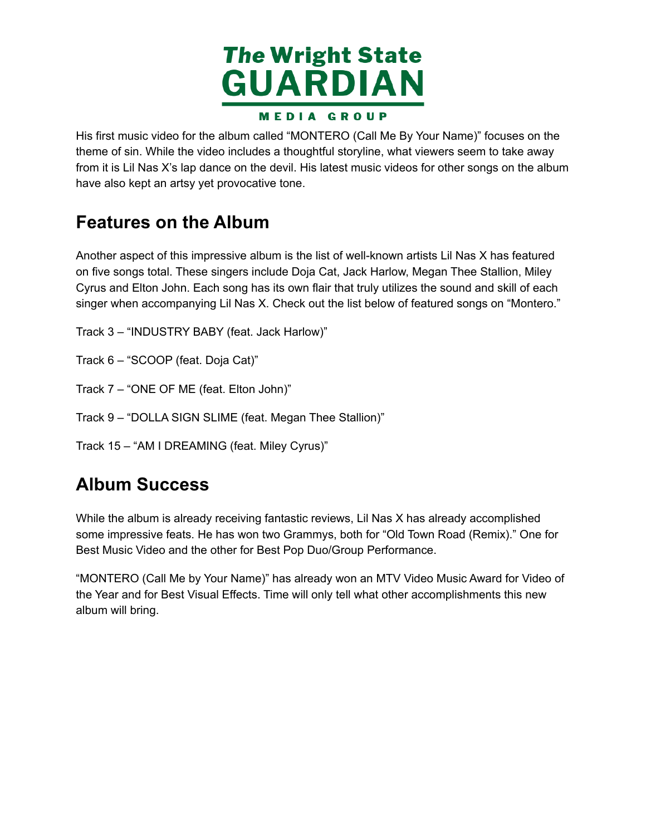

 His first music video for the album called "MONTERO (Call Me By Your Name)" focuses on the theme of sin. While the video includes a thoughtful storyline, what viewers seem to take away from it is Lil Nas X's lap dance on the devil. His latest music videos for other songs on the album have also kept an artsy yet provocative tone.

#### **Features on the Album**

 Another aspect of this impressive album is the list of well-known artists Lil Nas X has featured on five songs total. These singers include Doja Cat, Jack Harlow, Megan Thee Stallion, Miley Cyrus and Elton John. Each song has its own flair that truly utilizes the sound and skill of each singer when accompanying Lil Nas X. Check out the list below of featured songs on "Montero."

Track 3 – "INDUSTRY BABY (feat. Jack Harlow)"

Track 6 – "SCOOP (feat. Doja Cat)"

Track 7 – "ONE OF ME (feat. Elton John)"

- Track 9 "DOLLA SIGN SLIME (feat. Megan Thee Stallion)"
- Track 15 "AM I DREAMING (feat. Miley Cyrus)"

# **Album Success**

 While the album is already receiving fantastic reviews, Lil Nas X has already accomplished some impressive feats. He has won two Grammys, both for "Old Town Road (Remix)." One for Best Music Video and the other for Best Pop Duo/Group Performance.

 "MONTERO (Call Me by Your Name)" has already won an MTV Video Music Award for Video of the Year and for Best Visual Effects. Time will only tell what other accomplishments this new album will bring.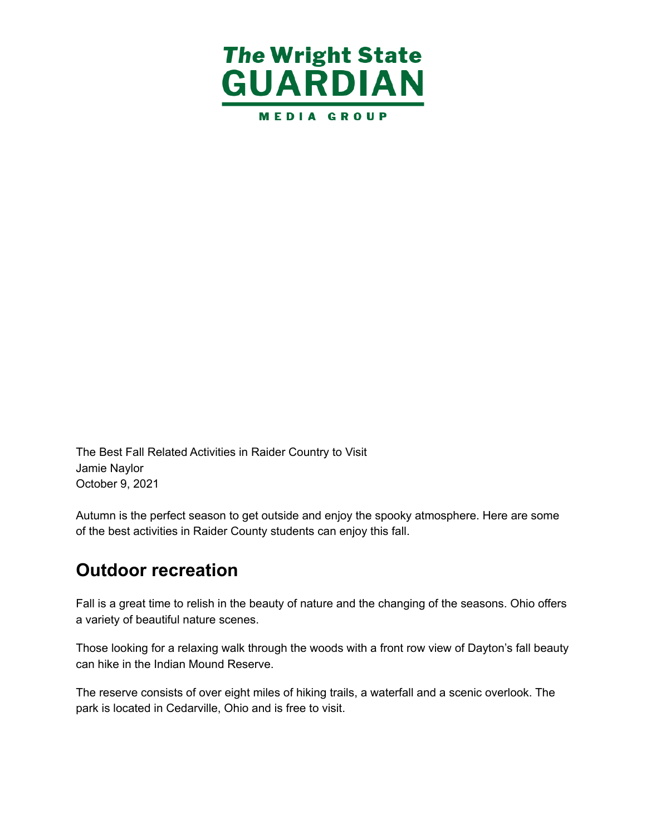

 The Best Fall Related Activities in Raider Country to Visit October 9, 2021 Jamie Naylor

 Autumn is the perfect season to get outside and enjoy the spooky atmosphere. Here are some of the best activities in Raider County students can enjoy this fall.

#### **Outdoor recreation**

 Fall is a great time to relish in the beauty of nature and the changing of the seasons. Ohio offers a variety of beautiful nature scenes.

 Those looking for a relaxing walk through the woods with a front row view of Dayton's fall beauty can hike in the Indian Mound Reserve.

 The reserve consists of over eight miles of hiking trails, a waterfall and a scenic overlook. The park is located in Cedarville, Ohio and is free to visit.